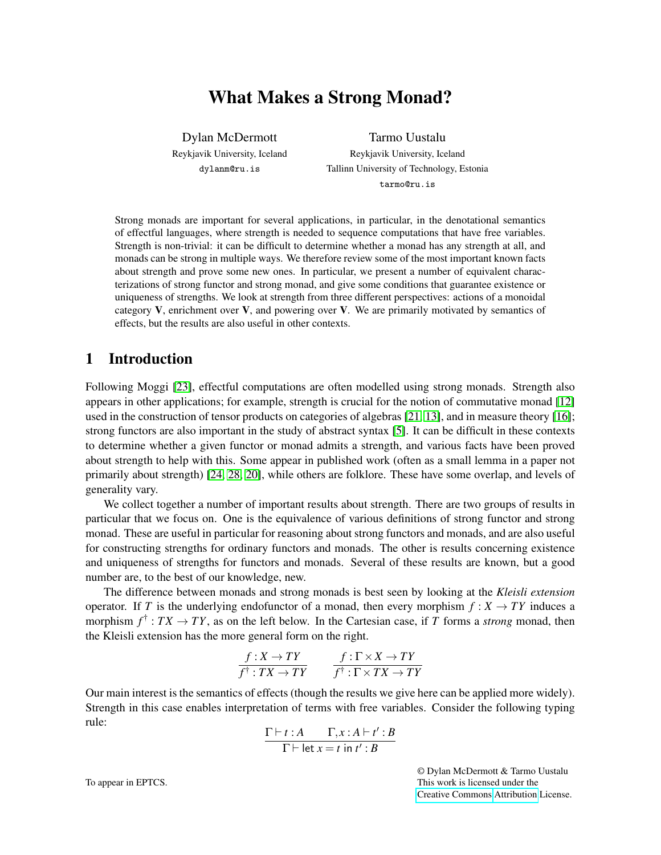# What Makes a Strong Monad?

Dylan McDermott Reykjavik University, Iceland dylanm@ru.is

Tarmo Uustalu Reykjavik University, Iceland Tallinn University of Technology, Estonia tarmo@ru.is

Strong monads are important for several applications, in particular, in the denotational semantics of effectful languages, where strength is needed to sequence computations that have free variables. Strength is non-trivial: it can be difficult to determine whether a monad has any strength at all, and monads can be strong in multiple ways. We therefore review some of the most important known facts about strength and prove some new ones. In particular, we present a number of equivalent characterizations of strong functor and strong monad, and give some conditions that guarantee existence or uniqueness of strengths. We look at strength from three different perspectives: actions of a monoidal category  $V$ , enrichment over  $V$ , and powering over  $V$ . We are primarily motivated by semantics of effects, but the results are also useful in other contexts.

## 1 Introduction

Following Moggi [\[23\]](#page-17-0), effectful computations are often modelled using strong monads. Strength also appears in other applications; for example, strength is crucial for the notion of commutative monad [\[12\]](#page-17-1) used in the construction of tensor products on categories of algebras [\[21,](#page-17-2) [13\]](#page-17-3), and in measure theory [\[16\]](#page-17-4); strong functors are also important in the study of abstract syntax [\[5\]](#page-16-0). It can be difficult in these contexts to determine whether a given functor or monad admits a strength, and various facts have been proved about strength to help with this. Some appear in published work (often as a small lemma in a paper not primarily about strength) [\[24,](#page-17-5) [28,](#page-18-0) [20\]](#page-17-6), while others are folklore. These have some overlap, and levels of generality vary.

We collect together a number of important results about strength. There are two groups of results in particular that we focus on. One is the equivalence of various definitions of strong functor and strong monad. These are useful in particular for reasoning about strong functors and monads, and are also useful for constructing strengths for ordinary functors and monads. The other is results concerning existence and uniqueness of strengths for functors and monads. Several of these results are known, but a good number are, to the best of our knowledge, new.

The difference between monads and strong monads is best seen by looking at the *Kleisli extension* operator. If *T* is the underlying endofunctor of a monad, then every morphism  $f: X \to TY$  induces a morphism  $f^{\dagger}$  :  $TX \to TY$ , as on the left below. In the Cartesian case, if *T* forms a *strong* monad, then the Kleisli extension has the more general form on the right.

$$
\frac{f: X \to TY}{f^{\dagger}: TX \to TY} \qquad \frac{f: \Gamma \times X \to TY}{f^{\dagger}: \Gamma \times TX \to TY}
$$

Our main interest is the semantics of effects (though the results we give here can be applied more widely). Strength in this case enables interpretation of terms with free variables. Consider the following typing rule:

$$
\frac{\Gamma\vdash t:A\qquad \Gamma,x:A\vdash t':B}{\Gamma\vdash \text{let } x=t\text{ in }t':B}
$$

© Dylan McDermott & Tarmo Uustalu This work is licensed under the [Creative Commons](https://creativecommons.org) [Attribution](https://creativecommons.org/licenses/by/4.0/) License.

To appear in EPTCS.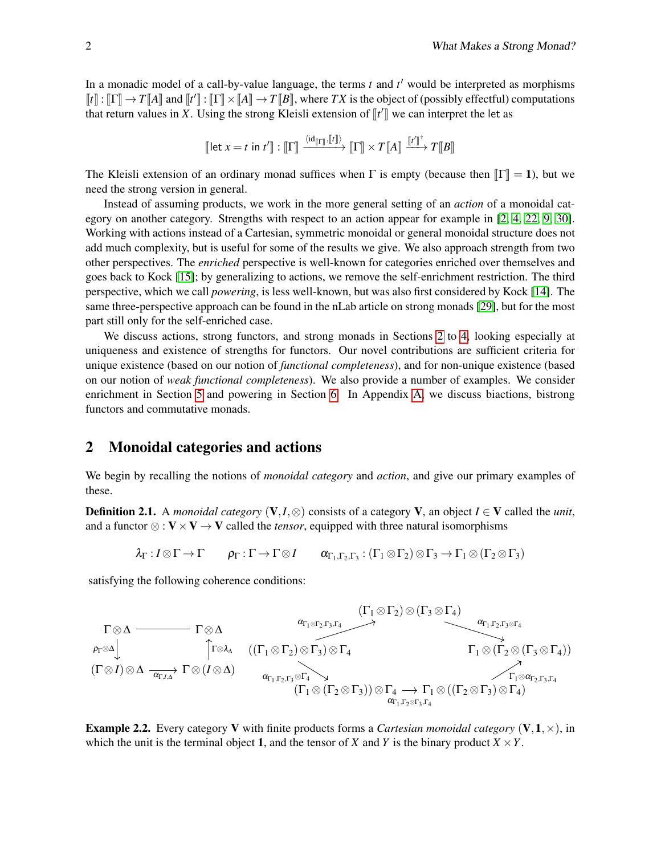In a monadic model of a call-by-value language, the terms *t* and *t* ′ would be interpreted as morphisms  $\llbracket t \rrbracket : \llbracket \Gamma \rrbracket \rightarrow T \llbracket A \rrbracket$  and  $\llbracket t' \rrbracket : \llbracket \Gamma \rrbracket \times \llbracket A \rrbracket \rightarrow T \llbracket B \rrbracket$ , where *TX* is the object of (possibly effectful) computations that return values in *Y*. Heing the strong Klaisli extension of  $\llbracket t'$ that return values in *X*. Using the strong Kleisli extension of  $\llbracket t' \rrbracket$  we can interpret the let as

$$
\llbracket \text{let } x = t \text{ in } t' \rrbracket : \llbracket \Gamma \rrbracket \xrightarrow{\langle \text{id}_{\llbracket \Gamma \rrbracket}, \llbracket t \rrbracket \rangle} \llbracket \Gamma \rrbracket \times T \llbracket A \rrbracket \xrightarrow{\llbracket t' \rrbracket^+} T \llbracket B \rrbracket
$$

The Kleisli extension of an ordinary monad suffices when  $\Gamma$  is empty (because then  $\|\Gamma\|=1$ ), but we need the strong version in general.

Instead of assuming products, we work in the more general setting of an *action* of a monoidal category on another category. Strengths with respect to an action appear for example in [\[2,](#page-16-1) [4,](#page-16-2) [22,](#page-17-7) [9,](#page-17-8) [30\]](#page-18-1). Working with actions instead of a Cartesian, symmetric monoidal or general monoidal structure does not add much complexity, but is useful for some of the results we give. We also approach strength from two other perspectives. The *enriched* perspective is well-known for categories enriched over themselves and goes back to Kock [\[15\]](#page-17-9); by generalizing to actions, we remove the self-enrichment restriction. The third perspective, which we call *powering*, is less well-known, but was also first considered by Kock [\[14\]](#page-17-10). The same three-perspective approach can be found in the nLab article on strong monads [\[29\]](#page-18-2), but for the most part still only for the self-enriched case.

We discuss actions, strong functors, and strong monads in Sections [2](#page-1-0) to [4,](#page-7-0) looking especially at uniqueness and existence of strengths for functors. Our novel contributions are sufficient criteria for unique existence (based on our notion of *functional completeness*), and for non-unique existence (based on our notion of *weak functional completeness*). We also provide a number of examples. We consider enrichment in Section [5](#page-10-0) and powering in Section [6.](#page-13-0) In Appendix [A,](#page-18-3) we discuss biactions, bistrong functors and commutative monads.

## <span id="page-1-0"></span>2 Monoidal categories and actions

We begin by recalling the notions of *monoidal category* and *action*, and give our primary examples of these.

**Definition 2.1.** A *monoidal category*  $(V, I, \otimes)$  consists of a category V, an object  $I \in V$  called the *unit*, and a functor  $\otimes : V \times V \rightarrow V$  called the *tensor*, equipped with three natural isomorphisms

$$
\lambda_{\Gamma}: I \otimes \Gamma \to \Gamma \qquad \rho_{\Gamma}: \Gamma \to \Gamma \otimes I \qquad \alpha_{\Gamma_1, \Gamma_2, \Gamma_3}: (\Gamma_1 \otimes \Gamma_2) \otimes \Gamma_3 \to \Gamma_1 \otimes (\Gamma_2 \otimes \Gamma_3)
$$

satisfying the following coherence conditions:



**Example 2.2.** Every category V with finite products forms a *Cartesian monoidal category* (V, 1,  $\times$ ), in which the unit is the terminal object 1, and the tensor of *X* and *Y* is the binary product  $X \times Y$ .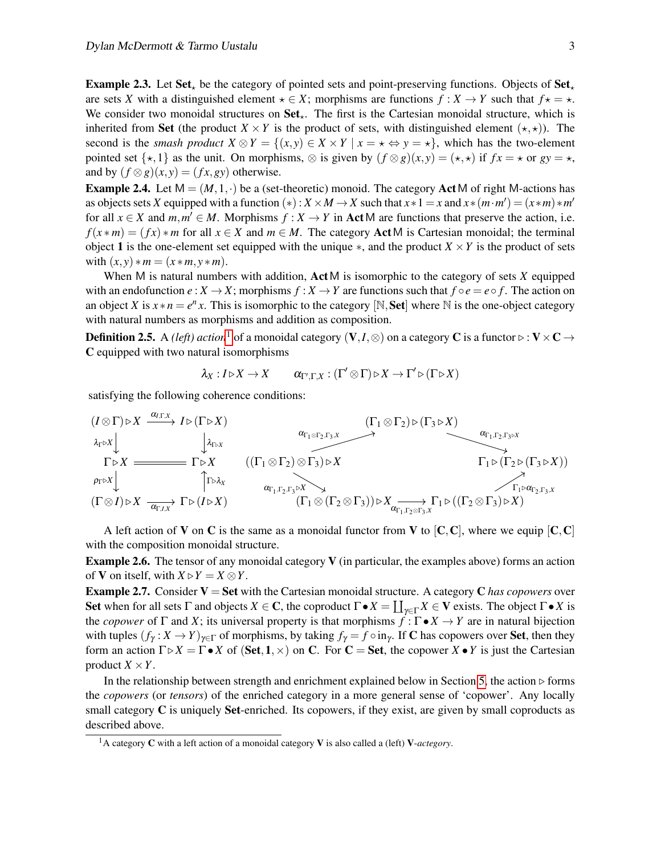**Example 2.3.** Let Set<sub>\*</sub> be the category of pointed sets and point-preserving functions. Objects of Set<sub>\*</sub> are sets *X* with a distinguished element  $\star \in X$ ; morphisms are functions  $f: X \to Y$  such that  $f \star = \star$ . We consider two monoidal structures on  $Set_{\star}$ . The first is the Cartesian monoidal structure, which is inherited from Set (the product  $X \times Y$  is the product of sets, with distinguished element  $(\star, \star)$ ). The second is the *smash product*  $X \otimes Y = \{(x, y) \in X \times Y \mid x = \star \Leftrightarrow y = \star\}$ , which has the two-element pointed set  $\{x,1\}$  as the unit. On morphisms,  $\otimes$  is given by  $(f \otimes g)(x,y) = (x, x)$  if  $fx = x$  or  $gy = x$ , and by  $(f \otimes g)(x, y) = (fx, gy)$  otherwise.

**Example 2.4.** Let  $M = (M, 1, \cdot)$  be a (set-theoretic) monoid. The category Act M of right M-actions has as objects sets *X* equipped with a function  $(*)$ :  $X \times M \to X$  such that  $x * 1 = x$  and  $x * (m \cdot m') = (x * m) * m'$ for all  $x \in X$  and  $m, m' \in M$ . Morphisms  $f : X \to Y$  in ActM are functions that preserve the action, i.e.  $f(x*m) = (fx) * m$  for all  $x \in X$  and  $m \in M$ . The category ActM is Cartesian monoidal; the terminal object 1 is the one-element set equipped with the unique  $*$ , and the product  $X \times Y$  is the product of sets with  $(x, y) * m = (x * m, y * m)$ .

When M is natural numbers with addition, ActM is isomorphic to the category of sets *X* equipped with an endofunction  $e : X \to X$ ; morphisms  $f : X \to Y$  are functions such that  $f \circ e = e \circ f$ . The action on an object *X* is  $x * n = e^n x$ . This is isomorphic to the category [N, **Set**] where N is the one-object category with natural numbers as morphisms and addition as composition.

**Definition 2.5.** A *(left)* action<sup>[1](#page-2-0)</sup> of a monoidal category (V,*I*,⊗) on a category C is a functor  $\triangleright : V \times C \rightarrow$ C equipped with two natural isomorphisms

$$
\lambda_X: I \triangleright X \to X \qquad \alpha_{\Gamma',\Gamma,X}: (\Gamma' \otimes \Gamma) \triangleright X \to \Gamma' \triangleright (\Gamma \triangleright X)
$$

satisfying the following coherence conditions:

$$
(I \otimes \Gamma) \triangleright X \xrightarrow{\alpha_{I,\Gamma,X}} I \triangleright (\Gamma \triangleright X) \xrightarrow{\alpha_{\Gamma_1 \otimes \Gamma_2, \Gamma_3, X}} \begin{array}{c} (\Gamma_1 \otimes \Gamma_2) \triangleright (\Gamma_3 \triangleright X) \\ \downarrow_{\Gamma \triangleright X} \\ \Gamma \triangleright X \xrightarrow{\alpha_{\Gamma_1, \Gamma_2, \Gamma_3 \triangleright X}} \\ \uparrow \Gamma \triangleright X \xrightarrow{\alpha_{\Gamma_1, \Gamma_2, \Gamma_3}} (\Gamma_1 \otimes \Gamma_2) \otimes \Gamma_3) \triangleright X \xrightarrow{\alpha_{\Gamma_1, \Gamma_2, \Gamma_3 \triangleright X}} \begin{array}{c} (\Gamma_1 \otimes \Gamma_2) \triangleright (\Gamma_3 \triangleright X) \\ \downarrow \wedge \\ \uparrow \Gamma_1 \triangleright (\Gamma_2 \triangleright (\Gamma_3 \triangleright X)) \xrightarrow{\alpha_{\Gamma_1, \Gamma_2, \Gamma_3} \triangleright X} \\ \uparrow \Gamma_2 \vee (\Gamma_3 \triangleright X) \end{array}
$$

A left action of **V** on **C** is the same as a monoidal functor from **V** to  $[C, C]$ , where we equip  $[C, C]$ with the composition monoidal structure.

Example 2.6. The tensor of any monoidal category V (in particular, the examples above) forms an action of **V** on itself, with  $X \triangleright Y = X \otimes Y$ .

<span id="page-2-1"></span>**Example 2.7.** Consider  $V = Set$  with the Cartesian monoidal structure. A category C *has copowers* over Set when for all sets  $\Gamma$  and objects  $X \in \mathbb{C}$ , the coproduct  $\Gamma \bullet X = \coprod_{\gamma \in \Gamma} X \in \mathbb{V}$  exists. The object  $\Gamma \bullet X$  is the *copower* of  $\Gamma$  and *X*; its universal property is that morphisms  $f : \Gamma \bullet X \to Y$  are in natural bijection with tuples  $(f_\gamma : X \to Y)_{\gamma \in \Gamma}$  of morphisms, by taking  $f_\gamma = f \circ in_\gamma$ . If C has copowers over Set, then they form an action  $\Gamma \triangleright X = \Gamma \bullet X$  of (Set, 1,  $\times$ ) on C. For C = Set, the copower  $X \bullet Y$  is just the Cartesian product  $X \times Y$ .

In the relationship between strength and enrichment explained below in Section [5,](#page-10-0) the action  $\triangleright$  forms the *copowers* (or *tensors*) of the enriched category in a more general sense of 'copower'. Any locally small category  $C$  is uniquely Set-enriched. Its copowers, if they exist, are given by small coproducts as described above.

<span id="page-2-0"></span><sup>1</sup>A category C with a left action of a monoidal category V is also called a (left) V-*actegory*.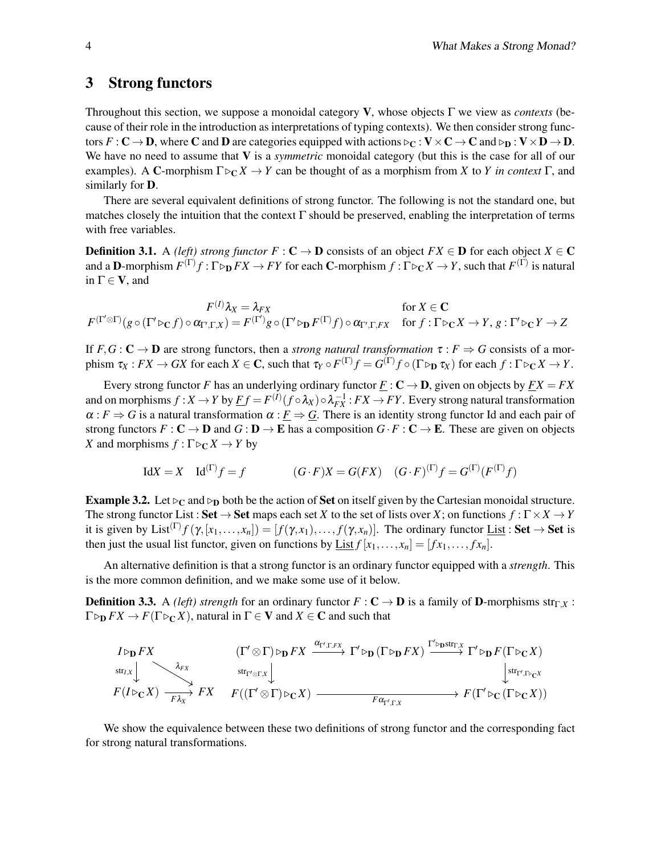### 3 Strong functors

Throughout this section, we suppose a monoidal category V, whose objects Γ we view as *contexts* (because of their role in the introduction as interpretations of typing contexts). We then consider strong functors  $F: \mathbb{C} \to \mathbb{D}$ , where C and D are categories equipped with actions  $\triangleright_C : \mathbf{V} \times \mathbf{C} \to \mathbf{C}$  and  $\triangleright_D : \mathbf{V} \times \mathbf{D} \to \mathbf{D}$ . We have no need to assume that V is a *symmetric* monoidal category (but this is the case for all of our examples). A C-morphism  $\Gamma \triangleright_C X \to Y$  can be thought of as a morphism from *X* to *Y* in context  $\Gamma$ , and similarly for D.

There are several equivalent definitions of strong functor. The following is not the standard one, but matches closely the intuition that the context  $\Gamma$  should be preserved, enabling the interpretation of terms with free variables.

**Definition 3.1.** A *(left) strong functor*  $F : \mathbf{C} \to \mathbf{D}$  consists of an object  $FX \in \mathbf{D}$  for each object  $X \in \mathbf{C}$ and a **D**-morphism  $F^{(\Gamma)}f : \Gamma \triangleright_D FX \to FY$  for each **C**-morphism  $f : \Gamma \triangleright_C X \to Y$ , such that  $F^{(\Gamma)}$  is natural in  $\Gamma \in V$ , and

 $F^{(I)}\lambda_X=\lambda_{FX}$  $({}^{(I)}\lambda_X = \lambda_{FX}$  for  $X \in \mathbf{C}$  $F^{(\Gamma' \otimes \Gamma)}(g \circ (\Gamma' \triangleright_{\mathbf{C}} f) \circ \alpha_{\Gamma', \Gamma, X}) = F^{(\Gamma')}g \circ (\Gamma' \triangleright_{\mathbf{D}} F^{(\Gamma)}f) \circ \alpha_{\Gamma', \Gamma, FX} \quad \text{for } f: \Gamma \triangleright_{\mathbf{C}} X \to Y, g: \Gamma' \triangleright_{\mathbf{C}} Y \to Z$ 

If  $F, G : \mathbb{C} \to \mathbb{D}$  are strong functors, then a *strong natural transformation*  $\tau : F \Rightarrow G$  consists of a mor- $\tau_X: FX \to GX$  for each  $X \in \mathbb{C}$ , such that  $\tau_Y \circ F^{(\Gamma)}f = G^{(\Gamma)}f \circ (\Gamma \triangleright_D \tau_X)$  for each  $f: \Gamma \triangleright_C X \to Y$ .

Every strong functor *F* has an underlying ordinary functor  $\underline{F} : \mathbf{C} \to \mathbf{D}$ , given on objects by  $\underline{FX} = FX$ and on morphisms  $f: X \to Y$  by  $\underline{F}f = F^{(I)}(f \circ \lambda_X) \circ \lambda_{FX}^{-1}: FX \to FY$ . Every strong natural transformation  $\alpha$ :  $F \Rightarrow G$  is a natural transformation  $\alpha$ :  $F \Rightarrow G$ . There is an identity strong functor Id and each pair of strong functors  $F : \mathbb{C} \to \mathbb{D}$  and  $G : \mathbb{D} \to \mathbb{E}$  has a composition  $G \cdot F : \mathbb{C} \to \mathbb{E}$ . These are given on objects *X* and morphisms  $f : \Gamma \triangleright_C X \to Y$  by

$$
IdX = X \quad Id^{(\Gamma)}f = f \qquad (G \cdot F)X = G(FX) \quad (G \cdot F)^{(\Gamma)}f = G^{(\Gamma)}(F^{(\Gamma)}f)
$$

<span id="page-3-0"></span>**Example 3.2.** Let  $\triangleright_C$  and  $\triangleright_D$  both be the action of **Set** on itself given by the Cartesian monoidal structure. The strong functor List : Set  $\rightarrow$  Set maps each set *X* to the set of lists over *X*; on functions  $f : \Gamma \times X \rightarrow Y$ it is given by List<sup>(Γ)</sup>  $f(\gamma, [x_1,\ldots,x_n]) = [f(\gamma, x_1),\ldots,f(\gamma, x_n)]$ . The ordinary functor <u>List</u> : Set  $\rightarrow$  Set is then just the usual list functor, given on functions by  $\underline{\text{List}} f[x_1,\ldots,x_n] = [fx_1,\ldots,fx_n].$ 

An alternative definition is that a strong functor is an ordinary functor equipped with a *strength*. This is the more common definition, and we make some use of it below.

**Definition 3.3.** A *(left) strength* for an ordinary functor  $F : \mathbf{C} \to \mathbf{D}$  is a family of **D**-morphisms str<sub>Γ,*X*</sub> :  $\Gamma \triangleright_{\mathbf{D}} FX \to F(\Gamma \triangleright_{\mathbf{C}} X)$ , natural in  $\Gamma \in \mathbf{V}$  and  $X \in \mathbf{C}$  and such that

$$
\begin{array}{ccc}\nI \triangleright_{\mathbf{D}} FX & (\Gamma' \otimes \Gamma) \triangleright_{\mathbf{D}} FX & \xrightarrow{\alpha_{\Gamma',\Gamma,FX}} \Gamma' \triangleright_{\mathbf{D}} (\Gamma \triangleright_{\mathbf{D}} FX) & \xrightarrow{\Gamma' \triangleright_{\mathbf{D}} \text{str}_{\Gamma,X}} \Gamma' \triangleright_{\mathbf{D}} F(\Gamma \triangleright_{\mathbf{C}} X) \\
\downarrow^{\text{str}_{\Gamma',\Gamma \triangleright_{\mathbf{C}} X}} & \downarrow^{\text{str}_{\Gamma',\Gamma \triangleright_{\mathbf{C}} X}} & F((\Gamma' \otimes \Gamma) \triangleright_{\mathbf{C}} X) & \xrightarrow{\alpha_{\Gamma',\Gamma,X}} & F(\Gamma' \triangleright_{\mathbf{C}} (\Gamma \triangleright_{\mathbf{C}} X)) \\
 & \downarrow^{\text{str}_{\Gamma',\Gamma \triangleright_{\mathbf{C}} X}} & F((\Gamma' \otimes \Gamma) \triangleright_{\mathbf{C}} X) & \xrightarrow{\alpha_{\Gamma',\Gamma,X}} & F(\Gamma' \triangleright_{\mathbf{C}} (\Gamma \triangleright_{\mathbf{C}} X))\n\end{array}
$$

<span id="page-3-1"></span>We show the equivalence between these two definitions of strong functor and the corresponding fact for strong natural transformations.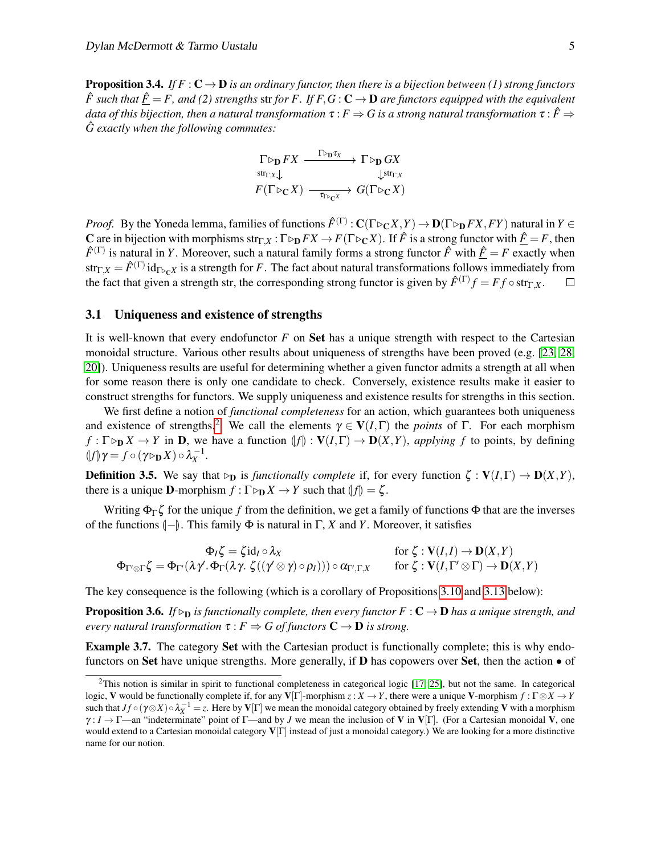**Proposition 3.4.** *If F* :  $C \rightarrow D$  *is an ordinary functor, then there is a bijection between* (1) *strong functors*  $\hat{F}$  such that  $\hat{F} = F$ , and (2) strengths str for F. If  $F, G : \mathbb{C} \to \mathbb{D}$  are functors equipped with the equivalent *data of this bijection, then a natural transformation*  $\tau$  :  $F \Rightarrow G$  is a strong natural transformation  $\tau$  :  $\hat{F} \Rightarrow$ *G exactly when the following commutes:* ˆ

$$
\Gamma \triangleright_{\mathbf{D}} FX \xrightarrow{\Gamma \triangleright_{\mathbf{D}} \tau_X} \Gamma \triangleright_{\mathbf{D}} GX
$$
\n
$$
F(\Gamma \triangleright_{\mathbf{C}} X) \xrightarrow{\tau \triangleright_{\mathbf{D}} \tau_X} G(\Gamma \triangleright_{\mathbf{C}} X)
$$

*Proof.* By the Yoneda lemma, families of functions  $\hat{F}^{(\Gamma)} : \mathbf{C}(\Gamma \triangleright_{\mathbf{C}} X, Y) \to \mathbf{D}(\Gamma \triangleright_{\mathbf{D}} FX, FY)$  natural in  $Y \in$ C are in bijection with morphisms str<sub>Γ,*X*</sub> : Γ  $\triangleright$   $\triangleright$   $FX \to F(\Gamma \triangleright_C X)$ . If  $\hat{F}$  is a strong functor with  $\hat{F} = F$ , then  $\hat{F}^{(\Gamma)}$  is natural in *Y*. Moreover, such a natural family forms a strong functor  $\hat{F}$  with  $\underline{\hat{F}} = F$  exactly when  $\text{str}_{\Gamma,X} = \hat{F}^{(\Gamma)}\,\text{id}_{\Gamma\triangleright_C X}$  is a strength for  $F.$  The fact about natural transformations follows immediately from the fact that given a strength str, the corresponding strong functor is given by  $\hat{F}^{(\Gamma)}f = Ff \circ \text{str}_{\Gamma,X}$ .  $\Box$ 

#### <span id="page-4-1"></span>3.1 Uniqueness and existence of strengths

It is well-known that every endofunctor *F* on Set has a unique strength with respect to the Cartesian monoidal structure. Various other results about uniqueness of strengths have been proved (e.g. [\[23,](#page-17-0) [28,](#page-18-0) [20\]](#page-17-6)). Uniqueness results are useful for determining whether a given functor admits a strength at all when for some reason there is only one candidate to check. Conversely, existence results make it easier to construct strengths for functors. We supply uniqueness and existence results for strengths in this section.

We first define a notion of *functional completeness* for an action, which guarantees both uniqueness and existence of strengths.<sup>[2](#page-4-0)</sup> We call the elements  $\gamma \in V(I,\Gamma)$  the *points* of  $\Gamma$ . For each morphism  $f: \Gamma \triangleright_{\mathbf{D}} X \to Y$  in **D**, we have a function  $\{f\} : \mathbf{V}(I, \Gamma) \to \mathbf{D}(X, Y)$ , *applying f* to points, by defining  $(f|\gamma) = f \circ (\gamma \triangleright_{\mathbf{D}} X) \circ \lambda_X^{-1}.$ 

**Definition 3.5.** We say that  $\triangleright_{\mathbf{D}}$  is *functionally complete* if, for every function  $\zeta : \mathbf{V}(I,\Gamma) \to \mathbf{D}(X,Y)$ , there is a unique **D**-morphism  $f : \Gamma \triangleright_{\mathbf{D}} X \to Y$  such that  $\Vert f \Vert = \zeta$ .

Writing  $\Phi_{\Gamma} \zeta$  for the unique *f* from the definition, we get a family of functions  $\Phi$  that are the inverses of the functions  $\llbracket -\rrbracket$ . This family  $\Phi$  is natural in Γ, *X* and *Y*. Moreover, it satisfies

$$
\Phi_I \zeta = \zeta \mathrm{id}_I \circ \lambda_X \qquad \qquad \text{for } \zeta : \mathbf{V}(I,I) \to \mathbf{D}(X,Y) \n\Phi_{\Gamma' \otimes \Gamma} \zeta = \Phi_{\Gamma'}(\lambda \gamma'. \Phi_{\Gamma}(\lambda \gamma. \zeta((\gamma' \otimes \gamma) \circ \rho_I))) \circ \alpha_{\Gamma',\Gamma,X} \qquad \text{for } \zeta : \mathbf{V}(I,\Gamma' \otimes \Gamma) \to \mathbf{D}(X,Y)
$$

The key consequence is the following (which is a corollary of Propositions [3.10](#page-5-0) and [3.13](#page-6-0) below):

**Proposition 3.6.** *If*  $\triangleright$ <sub>D</sub> *is functionally complete, then every functor*  $F : \mathbb{C} \to \mathbb{D}$  *has a unique strength, and every natural transformation*  $\tau$ :  $F \Rightarrow G$  *of functors*  $C \rightarrow D$  *is strong.* 

Example 3.7. The category Set with the Cartesian product is functionally complete; this is why endofunctors on Set have unique strengths. More generally, if **D** has copowers over Set, then the action  $\bullet$  of

<span id="page-4-0"></span> $^{2}$ This notion is similar in spirit to functional completeness in categorical logic [\[17,](#page-17-11) [25\]](#page-17-12), but not the same. In categorical logic, V would be functionally complete if, for any V[Γ]-morphism *z* : *X* → *Y*, there were a unique V-morphism *f* : Γ⊗*X* → *Y* such that  $Jf \circ (\gamma \otimes X) \circ \lambda_X^{-1} = z$ . Here by  $V[\Gamma]$  we mean the monoidal category obtained by freely extending V with a morphism γ : *I* → Γ—an "indeterminate" point of Γ—and by *J* we mean the inclusion of V in V[Γ]. (For a Cartesian monoidal V, one would extend to a Cartesian monoidal category  $V[\Gamma]$  instead of just a monoidal category.) We are looking for a more distinctive name for our notion.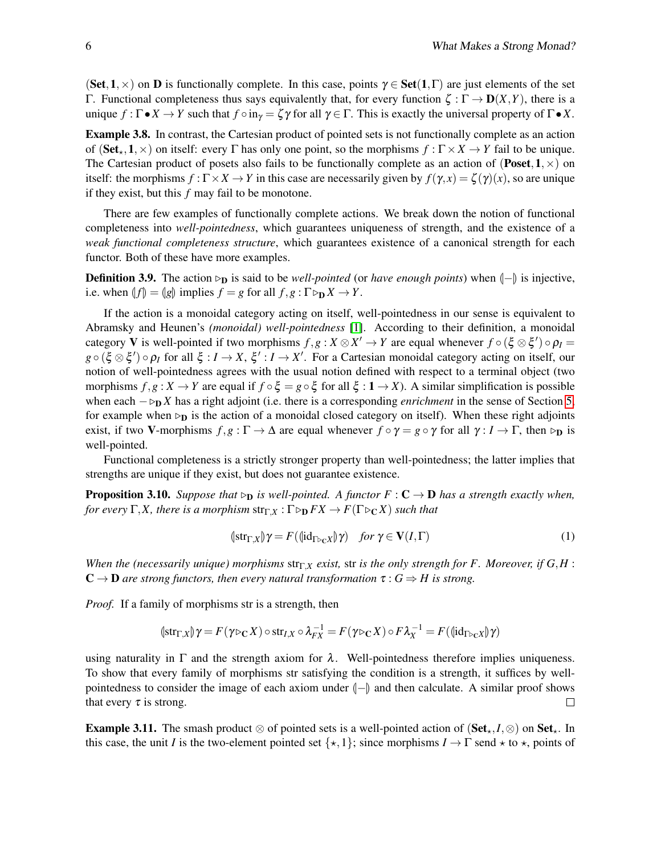(Set,1,  $\times$ ) on **D** is functionally complete. In this case, points  $\gamma \in$  Set(1,  $\Gamma$ ) are just elements of the set Γ. Functional completeness thus says equivalently that, for every function ζ : Γ → D(*X*,*Y*), there is a unique  $f : \Gamma \bullet X \to Y$  such that  $f \circ in_Y = \zeta \gamma$  for all  $\gamma \in \Gamma$ . This is exactly the universal property of  $\Gamma \bullet X$ .

Example 3.8. In contrast, the Cartesian product of pointed sets is not functionally complete as an action of (Set<sub>\*</sub>,1,  $\times$ ) on itself: every  $\Gamma$  has only one point, so the morphisms  $f : \Gamma \times X \to Y$  fail to be unique. The Cartesian product of posets also fails to be functionally complete as an action of (Poset,  $1, \times$ ) on itself: the morphisms  $f: \Gamma \times X \to Y$  in this case are necessarily given by  $f(\gamma, x) = \zeta(\gamma)(x)$ , so are unique if they exist, but this *f* may fail to be monotone.

There are few examples of functionally complete actions. We break down the notion of functional completeness into *well-pointedness*, which guarantees uniqueness of strength, and the existence of a *weak functional completeness structure*, which guarantees existence of a canonical strength for each functor. Both of these have more examples.

**Definition 3.9.** The action  $\triangleright$ <sub>D</sub> is said to be *well-pointed* (or *have enough points*) when  $\vert$ − $\vert$  is injective, i.e. when  $\|f\| = \|g\|$  implies  $f = g$  for all  $f, g: \Gamma \triangleright_{\mathbf{D}} X \to Y$ .

If the action is a monoidal category acting on itself, well-pointedness in our sense is equivalent to Abramsky and Heunen's *(monoidal) well-pointedness* [\[1\]](#page-16-3). According to their definition, a monoidal category **V** is well-pointed if two morphisms  $f, g: X \otimes X' \to Y$  are equal whenever  $f \circ (\xi \otimes \xi') \circ \rho_I =$  $g \circ (\xi \otimes \xi') \circ \rho_I$  for all  $\xi : I \to X$ ,  $\xi' : I \to X'$ . For a Cartesian monoidal category acting on itself, our notion of well-pointedness agrees with the usual notion defined with respect to a terminal object (two morphisms  $f, g: X \to Y$  are equal if  $f \circ \xi = g \circ \xi$  for all  $\xi : 1 \to X$ ). A similar simplification is possible when each  $-\triangleright_D X$  has a right adjoint (i.e. there is a corresponding *enrichment* in the sense of Section [5,](#page-10-0) for example when  $\rho$  is the action of a monoidal closed category on itself). When these right adjoints exist, if two V-morphisms  $f, g : \Gamma \to \Delta$  are equal whenever  $f \circ \gamma = g \circ \gamma$  for all  $\gamma : I \to \Gamma$ , then  $\triangleright_{\mathbf{D}}$  is well-pointed.

Functional completeness is a strictly stronger property than well-pointedness; the latter implies that strengths are unique if they exist, but does not guarantee existence.

<span id="page-5-0"></span>**Proposition 3.10.** *Suppose that*  $\rho_{\text{D}}$  *is well-pointed. A functor*  $F : \mathbf{C} \to \mathbf{D}$  *has a strength exactly when, for every*  $\Gamma$ *,X, there is a morphism*  $str_{\Gamma X}$  :  $\Gamma \triangleright_{D} FX \rightarrow F(\Gamma \triangleright_{C} X)$  *such that* 

$$
(\n\{\text{str}_{\Gamma,X}\}\gamma) = F(\langle \text{id}_{\Gamma \triangleright_{\mathbb{C}}X} \rangle \gamma) \quad \text{for } \gamma \in \mathbf{V}(I,\Gamma) \tag{1}
$$

*When the (necessarily unique) morphisms*  $str_{\Gamma X}$  *exist,* str *is the only strength for F. Moreover, if*  $G, H$ :  $\mathbf{C} \to \mathbf{D}$  are strong functors, then every natural transformation  $\tau : G \Rightarrow H$  is strong.

*Proof.* If a family of morphisms str is a strength, then

$$
(\n\text{str}_{\Gamma,X})\gamma = F(\gamma \triangleright_C X) \circ \text{str}_{I,X} \circ \lambda_{FX}^{-1} = F(\gamma \triangleright_C X) \circ F \lambda_X^{-1} = F(\langle \text{lid}_{\Gamma \triangleright_C X} \rangle \gamma)
$$

using naturality in  $\Gamma$  and the strength axiom for  $\lambda$ . Well-pointedness therefore implies uniqueness. To show that every family of morphisms str satisfying the condition is a strength, it suffices by wellpointedness to consider the image of each axiom under  $\vert - \vert$  and then calculate. A similar proof shows that every  $\tau$  is strong. that every  $\tau$  is strong.

**Example 3.11.** The smash product  $\otimes$  of pointed sets is a well-pointed action of (Set<sub>k</sub>, *I*,  $\otimes$ ) on Set<sub>k</sub>. In this case, the unit *I* is the two-element pointed set  $\{*,1\}$ ; since morphisms  $I \to \Gamma$  send  $\star$  to  $\star$ , points of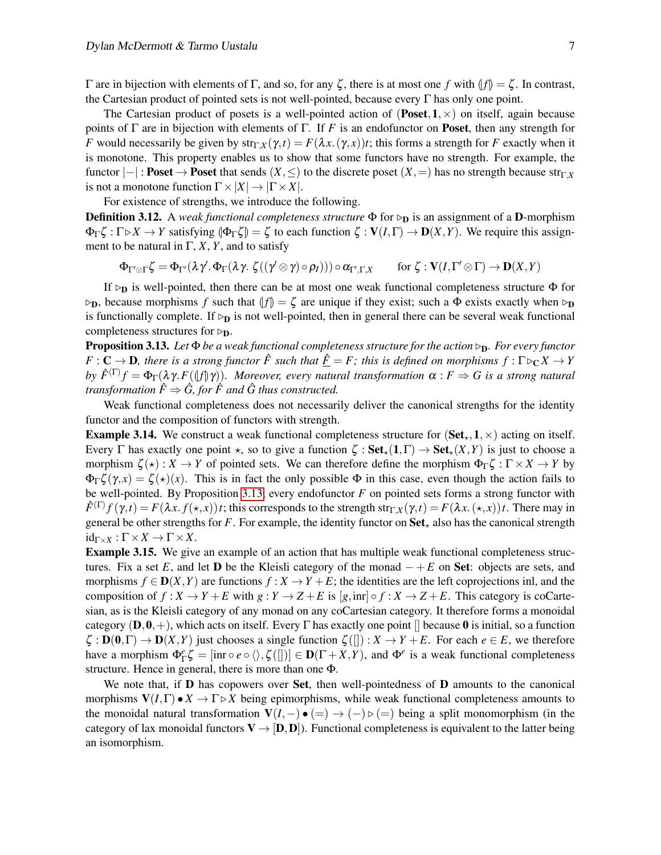Γ are in bijection with elements of Γ, and so, for any ζ, there is at most one *f* with  $|f| = \zeta$ . In contrast, the Cartesian product of pointed sets is not well-pointed, because every  $\Gamma$  has only one point.

The Cartesian product of posets is a well-pointed action of (**Poset, 1**,  $\times$ ) on itself, again because points of  $\Gamma$  are in bijection with elements of  $\Gamma$ . If *F* is an endofunctor on **Poset**, then any strength for *F* would necessarily be given by  $str_{\Gamma,X}(\gamma,t) = F(\lambda x.(\gamma,x))t$ ; this forms a strength for *F* exactly when it is monotone. This property enables us to show that some functors have no strength. For example, the functor  $|-|$  : **Poset**  $\rightarrow$  **Poset** that sends  $(X, \leq)$  to the discrete poset  $(X, =)$  has no strength because str $\Gamma$ *X* is not a monotone function  $\Gamma \times |X| \to |\Gamma \times X|$ .

For existence of strengths, we introduce the following.

**Definition 3.12.** A *weak functional completeness structure* Φ for  $\rho$  is an assignment of a **D**-morphism  $\Phi_{\Gamma} \zeta : \Gamma \triangleright X \to Y$  satisfying  $\Phi_{\Gamma} \zeta$  =  $\zeta$  to each function  $\zeta : V(I, \Gamma) \to D(X, Y)$ . We require this assignment to be natural in  $\Gamma$ , *X*, *Y*, and to satisfy

$$
\Phi_{\Gamma'\otimes\Gamma}\zeta=\Phi_{\Gamma'}(\lambda\gamma'.\Phi_\Gamma(\lambda\gamma.\ \zeta((\gamma'\otimes \gamma)\circ \rho_I)))\circ \alpha_{\Gamma',\Gamma,X}\qquad\text{for }\zeta:V(I,\Gamma'\otimes \Gamma)\to \mathbf{D}(X,Y)
$$

If  $\rho_{\bf D}$  is well-pointed, then there can be at most one weak functional completeness structure  $\Phi$  for  $\rho_{\mathbf{D}}$ , because morphisms *f* such that  $\Vert f \Vert = \zeta$  are unique if they exist; such a  $\Phi$  exists exactly when  $\rho_{\mathbf{D}}$ is functionally complete. If  $\triangleright_{\mathbf{D}}$  is not well-pointed, then in general there can be several weak functional completeness structures for  $\triangleright_{\mathbf{D}}$ .

<span id="page-6-0"></span>Proposition 3.13. *Let* Φ *be a weak functional completeness structure for the action* ▷D*. For every functor*  $F: \mathbf{C} \to \mathbf{D}$ , there is a strong functor  $\hat{F}$  such that  $\hat{F} = F$ ; this is defined on morphisms  $f: \Gamma \triangleright_{\mathbf{C}} X \to Y$ *by*  $\hat{F}^{(\Gamma)}f = \Phi_{\Gamma}(\lambda \gamma F(\langle f \rangle \gamma))$ *. Moreover, every natural transformation*  $\alpha : F \Rightarrow G$  is a strong natural *transformation*  $\hat{F} \Rightarrow \hat{G}$ , for  $\hat{F}$  and  $\hat{G}$  thus constructed.

Weak functional completeness does not necessarily deliver the canonical strengths for the identity functor and the composition of functors with strength.

**Example 3.14.** We construct a weak functional completeness structure for  $(\textbf{Set}_{\star}, 1, \times)$  acting on itself. Every  $\Gamma$  has exactly one point  $\star$ , so to give a function  $\zeta : \mathbf{Set}_{\star}(1,\Gamma) \to \mathbf{Set}_{\star}(X,Y)$  is just to choose a morphism  $\zeta(\star): X \to Y$  of pointed sets. We can therefore define the morphism  $\Phi_{\Gamma} \zeta : \Gamma \times X \to Y$  by  $\Phi_{\Gamma}\zeta(\gamma,x)=\zeta(x)(x)$ . This is in fact the only possible  $\Phi$  in this case, even though the action fails to be well-pointed. By Proposition [3.13,](#page-6-0) every endofunctor *F* on pointed sets forms a strong functor with  $\hat{F}^{(\Gamma)}f(\gamma,t) = F(\lambda x. f(\star, x))t$ ; this corresponds to the strength str<sub>Γ,*X*</sub>( $\gamma$ ,*t*) =  $F(\lambda x. (\star, x))t$ . There may in general be other strengths for  $F$ . For example, the identity functor on  $Set_{\star}$  also has the canonical strength  $id_{\Gamma \times X} : \Gamma \times X \to \Gamma \times X$ .

Example 3.15. We give an example of an action that has multiple weak functional completeness structures. Fix a set *E*, and let **D** be the Kleisli category of the monad  $- + E$  on **Set**: objects are sets, and morphisms  $f \in D(X, Y)$  are functions  $f : X \to Y + E$ ; the identities are the left coprojections inl, and the composition of  $f: X \to Y + E$  with  $g: Y \to Z + E$  is  $[g, \text{inr}] \circ f: X \to Z + E$ . This category is coCartesian, as is the Kleisli category of any monad on any coCartesian category. It therefore forms a monoidal category  $(D, 0, +)$ , which acts on itself. Every Γ has exactly one point  $\Box$  because 0 is initial, so a function  $\zeta : \mathbf{D}(\mathbf{0},\Gamma) \to \mathbf{D}(X,Y)$  just chooses a single function  $\zeta($ []) :  $X \to Y + E$ . For each  $e \in E$ , we therefore have a morphism  $\Phi_{\Gamma}^e \zeta = [\text{inr} \circ e \circ \langle \rangle, \zeta(\mathbf{r})] \in \mathbf{D}(\Gamma + X, Y)$ , and  $\Phi^e$  is a weak functional completeness structure. Hence in general, there is more than one Φ.

We note that, if  **has copowers over <b>Set**, then well-pointedness of  **amounts to the canonical** morphisms  $V(I, \Gamma) \bullet X \to \Gamma \triangleright X$  being epimorphisms, while weak functional completeness amounts to the monoidal natural transformation  $V(I, -) \bullet (= ) \rightarrow (-) \triangleright (= )$  being a split monomorphism (in the category of lax monoidal functors  $V \rightarrow [D, D]$ . Functional completeness is equivalent to the latter being an isomorphism.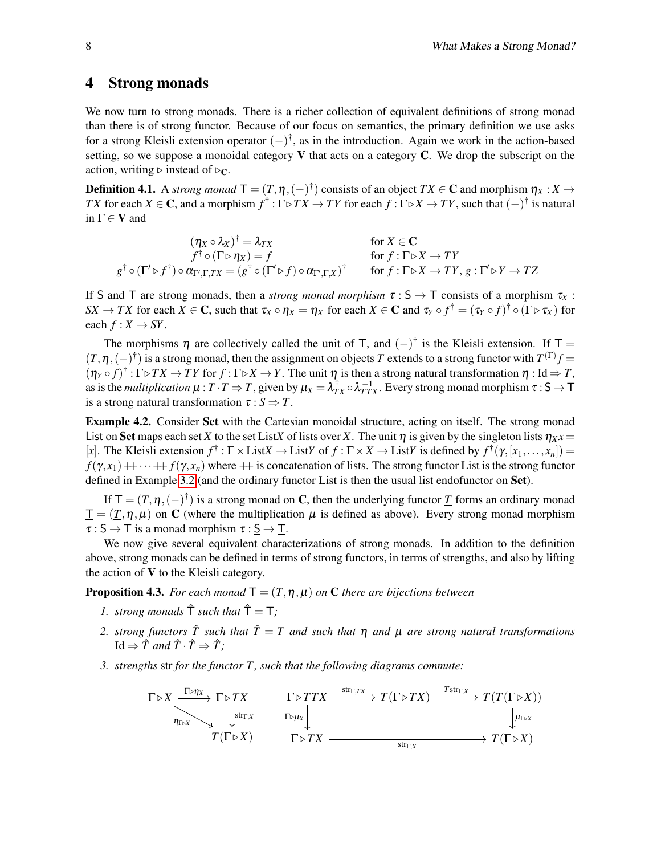### <span id="page-7-0"></span>4 Strong monads

We now turn to strong monads. There is a richer collection of equivalent definitions of strong monad than there is of strong functor. Because of our focus on semantics, the primary definition we use asks for a strong Kleisli extension operator  $(-)^{\dagger}$ , as in the introduction. Again we work in the action-based setting, so we suppose a monoidal category  $V$  that acts on a category  $C$ . We drop the subscript on the action, writing  $\triangleright$  instead of  $\triangleright_C$ .

**Definition 4.1.** A *strong monad*  $\mathsf{T} = (T, \eta, (-)^{\dagger})$  consists of an object  $TX \in \mathbb{C}$  and morphism  $\eta_X : X \to$ *TX* for each  $X \in \mathbf{C}$ , and a morphism  $f^{\dagger} : \Gamma \triangleright TX \to TY$  for each  $f : \Gamma \triangleright X \to TY$ , such that  $(-)^{\dagger}$  is natural in  $\Gamma \in V$  and

$$
(\eta_X \circ \lambda_X)^{\dagger} = \lambda_{TX} \qquad \text{for } X \in \mathbb{C}
$$
  
\n
$$
f^{\dagger} \circ (\Gamma \triangleright \eta_X) = f \qquad \text{for } f : \Gamma \triangleright X \to TY
$$
  
\n
$$
g^{\dagger} \circ (\Gamma' \triangleright f^{\dagger}) \circ \alpha_{\Gamma',\Gamma,TX} = (g^{\dagger} \circ (\Gamma' \triangleright f) \circ \alpha_{\Gamma',\Gamma,X})^{\dagger} \qquad \text{for } f : \Gamma \triangleright X \to TY, g : \Gamma' \triangleright Y \to TZ
$$

If S and T are strong monads, then a *strong monad morphism*  $\tau : S \to T$  consists of a morphism  $\tau_X$ : *SX*  $\to TX$  for each  $X \in \mathbf{C}$ , such that  $\tau_X \circ \eta_X = \eta_X$  for each  $X \in \mathbf{C}$  and  $\tau_Y \circ f^\dagger = (\tau_Y \circ f)^\dagger \circ (\Gamma \triangleright \tau_X)$  for each  $f: X \to SY$ .

The morphisms  $\eta$  are collectively called the unit of T, and  $(-)^{\dagger}$  is the Kleisli extension. If T =  $(T, \eta, (-)^\dagger)$  is a strong monad, then the assignment on objects *T* extends to a strong functor with  $T^{(\Gamma)}f$  =  $(\eta_Y \circ f)^{\dagger} : \Gamma \triangleright TX \to TY$  for  $f : \Gamma \triangleright X \to Y$ . The unit  $\eta$  is then a strong natural transformation  $\eta : \text{Id} \Rightarrow T$ , as is the *multiplication*  $\mu$  :  $T \cdot T \Rightarrow T$ , given by  $\mu_X = \lambda_{TX}^{\dagger} \circ \lambda_{TTX}^{-1}$ . Every strong monad morphism  $\tau : S \to T$ is a strong natural transformation  $\tau : S \Rightarrow T$ .

Example 4.2. Consider Set with the Cartesian monoidal structure, acting on itself. The strong monad List on Set maps each set *X* to the set List*X* of lists over *X*. The unit  $\eta$  is given by the singleton lists  $\eta_X x =$ [x]. The Kleisli extension  $f^{\dagger}$ :  $\Gamma \times$  List $X \to$  List $Y$  of  $f : \Gamma \times X \to$  List $Y$  is defined by  $f^{\dagger}(\gamma, [x_1, ..., x_n]) =$  $f(\gamma, x_1) + \cdots + f(\gamma, x_n)$  where  $+$  is concatenation of lists. The strong functor List is the strong functor defined in Example [3.2](#page-3-0) (and the ordinary functor List is then the usual list endofunctor on Set).

If  $T = (T, \eta, (-)^{\dagger})$  is a strong monad on C, then the underlying functor <u>T</u> forms an ordinary monad  $\underline{T} = (T, \eta, \mu)$  on C (where the multiplication  $\mu$  is defined as above). Every strong monad morphism  $\tau : S \to T$  is a monad morphism  $\tau : S \to T$ .

We now give several equivalent characterizations of strong monads. In addition to the definition above, strong monads can be defined in terms of strong functors, in terms of strengths, and also by lifting the action of  $V$  to the Kleisli category.

**Proposition 4.3.** *For each monad*  $T = (T, \eta, \mu)$  *on* **C** *there are bijections between* 

- *1. strong monads*  $\hat{T}$  *such that*  $\hat{T} = T$ *;*
- *2. strong functors*  $\hat{T}$  *such that*  $\hat{T} = T$  *and such that*  $\eta$  *and*  $\mu$  *are strong natural transformations*  $Id \Rightarrow \hat{T}$  *and*  $\hat{T} \cdot \hat{T} \Rightarrow \hat{T}$ ;
- *3. strengths* str *for the functor T , such that the following diagrams commute:*

$$
\begin{array}{ccc}\n\Gamma \triangleright X & \xrightarrow{\Gamma \triangleright \eta_X} \Gamma \triangleright TX & \Gamma \triangleright TTX & \xrightarrow{\text{str}_{\Gamma, TX}} T(\Gamma \triangleright TX) & \xrightarrow{\text{Tstr}_{\Gamma, X}} T(T(\Gamma \triangleright X)) \\
& \downarrow \text{str}_{\Gamma, X} & \Gamma \triangleright \mu_X \downarrow & \downarrow \downarrow \\
T(\Gamma \triangleright X) & \Gamma \triangleright TX & \xrightarrow{\text{str}_{\Gamma, X}} T(\Gamma \triangleright X) & \downarrow \mu_{\Gamma \triangleright X} \\
\end{array}
$$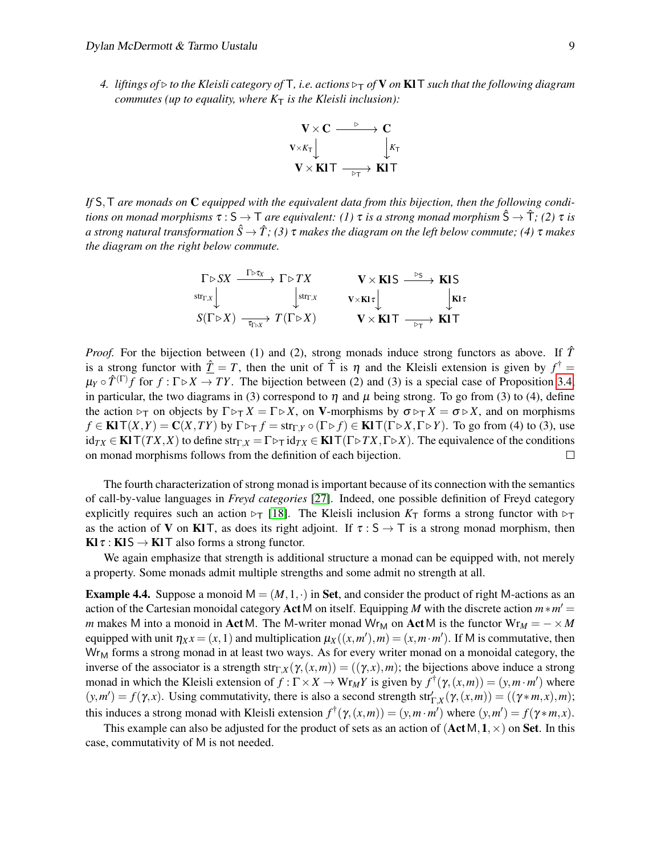*4. liftings of* ▷ *to the Kleisli category of* T*, i.e. actions* ▷<sup>T</sup> *of* V *on* KlT *such that the following diagram commutes (up to equality, where*  $K<sub>T</sub>$  *is the Kleisli inclusion):* 



*If* S,T *are monads on* C *equipped with the equivalent data from this bijection, then the following conditions on monad morphisms*  $\tau : S \to T$  *are equivalent:* (1)  $\tau$  *is a strong monad morphism*  $\hat{S} \to \hat{T}$ ; (2)  $\tau$  *is a strong natural transformation*  $\hat{S} \to \hat{T}$ ; (3) τ makes the diagram on the left below commute; (4) τ makes *the diagram on the right below commute.*

$$
\Gamma \rhd SX \xrightarrow{\Gamma \rhd \tau_X} \Gamma \rhd TX \qquad \qquad \mathbf{V} \times \mathbf{KIS} \xrightarrow{\rhd_S} \mathbf{KIS} \n\downarrow \text{str}_{\tau, X} \qquad \qquad \downarrow \text{str}_{\tau, X} \qquad \qquad \mathbf{V} \times \mathbf{KIS} \xrightarrow{\rhd_S} \mathbf{KIS} \n\mathbf{S}(\Gamma \rhd X) \xrightarrow{\tau_{\text{Tr}, X}} T(\Gamma \rhd X) \qquad \qquad \mathbf{V} \times \mathbf{KIT} \xrightarrow{\rhd_{\text{Tr}}} \mathbf{KIT}
$$

*Proof.* For the bijection between (1) and (2), strong monads induce strong functors as above. If  $\hat{T}$ is a strong functor with  $\underline{\hat{T}} = T$ , then the unit of  $\hat{T}$  is  $\eta$  and the Kleisli extension is given by  $f^{\dagger} =$  $\mu_Y \circ \hat{T}^{(\Gamma)}f$  for  $f : \Gamma \triangleright X \to TY$ . The bijection between (2) and (3) is a special case of Proposition [3.4,](#page-3-1) in particular, the two diagrams in (3) correspond to  $\eta$  and  $\mu$  being strong. To go from (3) to (4), define the action  $\ntriangleright_T$  on objects by  $\Gamma \triangleright_T X = \Gamma \triangleright X$ , on V-morphisms by  $\sigma \triangleright_T X = \sigma \triangleright X$ , and on morphisms  $f \in \text{KIT}(X,Y) = \text{C}(X,TY)$  by  $\Gamma \triangleright_T f = \text{str}_{\Gamma,Y} \circ (\Gamma \triangleright f) \in \text{KIT}(\Gamma \triangleright X,\Gamma \triangleright Y)$ . To go from (4) to (3), use  $id_{TX} \in \text{KIT}(TX,X)$  to define  $str_{\Gamma,X} = \Gamma \triangleright_T id_{TX} \in \text{KIT}(\Gamma \triangleright TX, \Gamma \triangleright X)$ . The equivalence of the conditions on monad morphisms follows from the definition of each bijection.  $\Box$ 

The fourth characterization of strong monad is important because of its connection with the semantics of call-by-value languages in *Freyd categories* [\[27\]](#page-18-4). Indeed, one possible definition of Freyd category explicitly requires such an action  $\triangleright_T$  [\[18\]](#page-17-13). The Kleisli inclusion  $K_T$  forms a strong functor with  $\triangleright_T$ as the action of V on KIT, as does its right adjoint. If  $\tau : S \to T$  is a strong monad morphism, then  $KI \tau : KIS \rightarrow KIT$  also forms a strong functor.

We again emphasize that strength is additional structure a monad can be equipped with, not merely a property. Some monads admit multiple strengths and some admit no strength at all.

<span id="page-8-0"></span>**Example 4.4.** Suppose a monoid  $M = (M, 1, \cdot)$  in Set, and consider the product of right M-actions as an action of the Cartesian monoidal category Act M on itself. Equipping *M* with the discrete action  $m*m' =$ *m* makes M into a monoid in Act M. The M-writer monad Wr<sub>M</sub> on Act M is the functor  $Wr_M = - \times M$ equipped with unit  $\eta_X x = (x, 1)$  and multiplication  $\mu_X((x, m'), m) = (x, m \cdot m')$ . If M is commutative, then  $Wr<sub>M</sub>$  forms a strong monad in at least two ways. As for every writer monad on a monoidal category, the inverse of the associator is a strength str<sub>Γ</sub> $_X(\gamma, (x, m)) = ((\gamma, x), m)$ ; the bijections above induce a strong monad in which the Kleisli extension of  $f : \Gamma \times X \to Wr_MY$  is given by  $f^{\dagger}(\gamma,(x,m)) = (y,m \cdot m')$  where  $(y, m') = f(\gamma, x)$ . Using commutativity, there is also a second strength str<sup>'</sup><sub> $\Gamma$ </sub><sub>X</sub></sub> $(\gamma, (x, m)) = ((\gamma * m, x), m)$ ; this induces a strong monad with Kleisli extension  $f^{\dagger}(\gamma,(x,m)) = (y,m \cdot m')$  where  $(y,m') = f(\gamma * m, x)$ .

This example can also be adjusted for the product of sets as an action of  $(ActM, 1, \times)$  on Set. In this case, commutativity of M is not needed.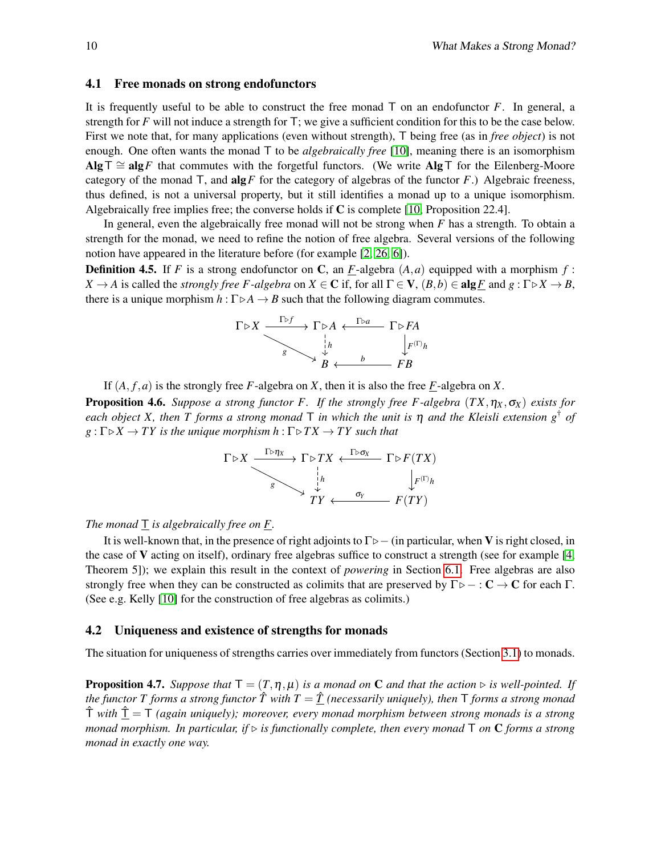#### 4.1 Free monads on strong endofunctors

It is frequently useful to be able to construct the free monad T on an endofunctor *F*. In general, a strength for *F* will not induce a strength for T; we give a sufficient condition for this to be the case below. First we note that, for many applications (even without strength), T being free (as in *free object*) is not enough. One often wants the monad T to be *algebraically free* [\[10\]](#page-17-14), meaning there is an isomorphism Alg<sup>T</sup> ≅ alg*F* that commutes with the forgetful functors. (We write AlgT for the Eilenberg-Moore category of the monad  $\mathsf{T}$ , and  $\mathbf{alg} \mathsf{F}$  for the category of algebras of the functor  $\mathsf{F}$ .) Algebraic freeness, thus defined, is not a universal property, but it still identifies a monad up to a unique isomorphism. Algebraically free implies free; the converse holds if  $C$  is complete [\[10,](#page-17-14) Proposition 22.4].

In general, even the algebraically free monad will not be strong when *F* has a strength. To obtain a strength for the monad, we need to refine the notion of free algebra. Several versions of the following notion have appeared in the literature before (for example [\[2,](#page-16-1) [26,](#page-17-15) [6\]](#page-16-4)).

<span id="page-9-0"></span>**Definition 4.5.** If *F* is a strong endofunctor on C, an *F*-algebra  $(A, a)$  equipped with a morphism *f* : *X*  $\rightarrow$  *A* is called the *strongly free F-algebra* on *X*  $\in$  **C** if, for all  $\Gamma \in$  **V**,  $(B, b) \in$  alg*F* and *g* :  $\Gamma \triangleright X \rightarrow B$ , there is a unique morphism  $h : \Gamma \triangleright A \rightarrow B$  such that the following diagram commutes.

$$
\Gamma \triangleright X \xrightarrow{\Gamma \triangleright f} \Gamma \triangleright A \xleftarrow{\Gamma \triangleright a} \Gamma \triangleright FA
$$
\n
$$
\downarrow h \qquad \qquad \downarrow F^{(\Gamma)}h
$$
\n
$$
B \xleftarrow{b} \neg B
$$

If  $(A, f, a)$  is the strongly free *F*-algebra on *X*, then it is also the free *F*-algebra on *X*.

**Proposition 4.6.** *Suppose a strong functor F. If the strongly free F-algebra*  $(TX, \eta_X, \sigma_X)$  *exists for each object X, then T forms a strong monad*  $\overline{T}$  *in which the unit is*  $\eta$  *and the Kleisli extension g*<sup>†</sup> *of*  $g: \Gamma \triangleright X \to TY$  *is the unique morphism h* :  $\Gamma \triangleright TX \to TY$  *such that* 

$$
\Gamma \triangleright X \xrightarrow{\Gamma \triangleright \eta_X} \Gamma \triangleright TX \xleftarrow{\Gamma \triangleright \sigma_X} \Gamma \triangleright F(TX) \xrightarrow{\downarrow} \downarrow R \downarrow F(\Gamma) \downarrow R
$$
\n
$$
\downarrow F
$$
\n
$$
TY \xleftarrow{\sigma_Y} F(TY)
$$

*The monad* T *is algebraically free on F.*

It is well-known that, in the presence of right adjoints to  $\Gamma \triangleright$  – (in particular, when V is right closed, in the case of V acting on itself), ordinary free algebras suffice to construct a strength (see for example [\[4,](#page-16-2) Theorem 5]); we explain this result in the context of *powering* in Section [6.1.](#page-15-0) Free algebras are also strongly free when they can be constructed as colimits that are preserved by  $\Gamma \triangleright - : \mathbb{C} \to \mathbb{C}$  for each  $\Gamma$ . (See e.g. Kelly [\[10\]](#page-17-14) for the construction of free algebras as colimits.)

#### 4.2 Uniqueness and existence of strengths for monads

The situation for uniqueness of strengths carries over immediately from functors (Section [3.1\)](#page-4-1) to monads.

**Proposition 4.7.** *Suppose that*  $T = (T, \eta, \mu)$  *is a monad on* **C** *and that the action*  $\triangleright$  *is well-pointed. If the functor T forms a strong functor*  $\hat{T}$  *with*  $T = \hat{T}$  *(necessarily uniquely), then* T *forms a strong monad* Tˆ *with* Tˆ = T *(again uniquely); moreover, every monad morphism between strong monads is a strong monad morphism. In particular, if*  $\triangleright$  *is functionally complete, then every monad*  $\top$  *on*  $\mathbb{C}$  *forms a strong monad in exactly one way.*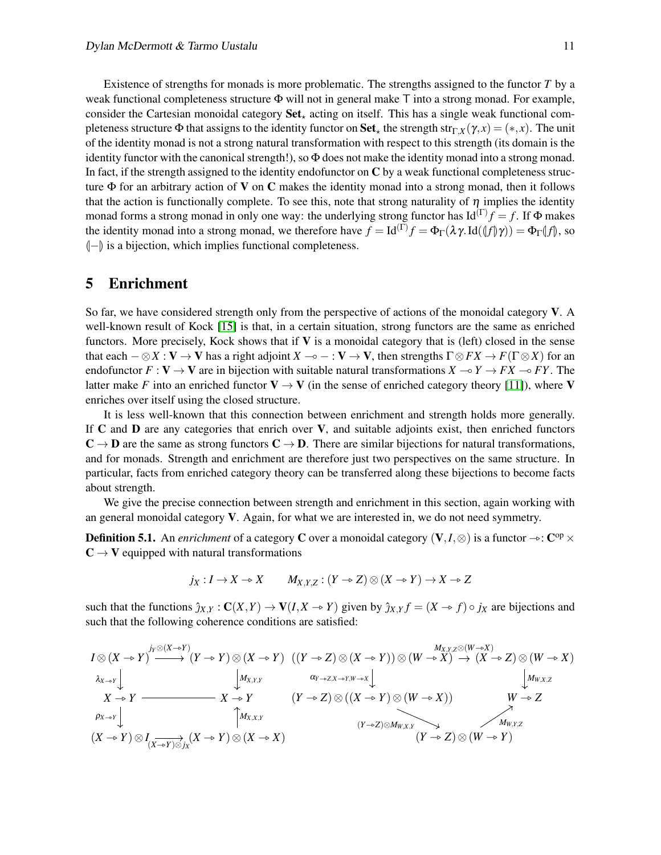Existence of strengths for monads is more problematic. The strengths assigned to the functor *T* by a weak functional completeness structure Φ will not in general make T into a strong monad. For example, consider the Cartesian monoidal category  $Set_{+}$  acting on itself. This has a single weak functional completeness structure  $\Phi$  that assigns to the identity functor on **Set**<sub>x</sub> the strength str<sub>Γ</sub>*χ* (*γ*,*x*) = (\*,*x*). The unit of the identity monad is not a strong natural transformation with respect to this strength (its domain is the identity functor with the canonical strength!), so  $\Phi$  does not make the identity monad into a strong monad. In fact, if the strength assigned to the identity endofunctor on  $C$  by a weak functional completeness structure  $\Phi$  for an arbitrary action of **V** on **C** makes the identity monad into a strong monad, then it follows that the action is functionally complete. To see this, note that strong naturality of  $\eta$  implies the identity monad forms a strong monad in only one way: the underlying strong functor has  $Id^{(\Gamma)}f = f$ . If  $\Phi$  makes the identity monad into a strong monad, we therefore have  $f = \text{Id}^{(\Gamma)} f = \Phi_{\Gamma}(\lambda \gamma \text{.} \text{Id}(\langle f | \gamma \rangle)) = \Phi_{\Gamma}(\langle f | \rangle, \text{ so }$  $\left\vert -\right\rangle$  is a bijection, which implies functional completeness.

### <span id="page-10-0"></span>5 Enrichment

So far, we have considered strength only from the perspective of actions of the monoidal category V. A well-known result of Kock [\[15\]](#page-17-9) is that, in a certain situation, strong functors are the same as enriched functors. More precisely, Kock shows that if V is a monoidal category that is (left) closed in the sense that each  $-\otimes X : V \to V$  has a right adjoint  $X \to - : V \to V$ , then strengths  $\Gamma \otimes FX \to F(\Gamma \otimes X)$  for an endofunctor  $F: V \to V$  are in bijection with suitable natural transformations  $X \to Y \to FX \to FY$ . The latter make *F* into an enriched functor  $V \to V$  (in the sense of enriched category theory [\[11\]](#page-17-16)), where V enriches over itself using the closed structure.

It is less well-known that this connection between enrichment and strength holds more generally. If C and D are any categories that enrich over V, and suitable adjoints exist, then enriched functors  $C \rightarrow D$  are the same as strong functors  $C \rightarrow D$ . There are similar bijections for natural transformations, and for monads. Strength and enrichment are therefore just two perspectives on the same structure. In particular, facts from enriched category theory can be transferred along these bijections to become facts about strength.

We give the precise connection between strength and enrichment in this section, again working with an general monoidal category V. Again, for what we are interested in, we do not need symmetry.

**Definition 5.1.** An *enrichment* of a category **C** over a monoidal category  $(V, I, \otimes)$  is a functor  $\rightarrow$ :  $C^{op} \times C$ .  $C \rightarrow V$  equipped with natural transformations

$$
j_X: I \to X \to X \qquad M_{X,Y,Z}: (Y \to Z) \otimes (X \to Y) \to X \to Z
$$

such that the functions  $\hat{j}_{X,Y} : \mathbf{C}(X,Y) \to \mathbf{V}(I,X \to Y)$  given by  $\hat{j}_{X,Y} f = (X \to f) \circ j_X$  are bijections and such that the following coherence conditions are satisfied:

$$
I \otimes (X \to Y) \xrightarrow{j_{Y} \otimes (X \to Y)} (Y \to Y) \otimes (X \to Y) \quad ((Y \to Z) \otimes (X \to Y)) \otimes (W \to X) \to (X \to Z) \otimes (W \to X)
$$
  
\n
$$
\lambda_{X \to Y} \downarrow \qquad \qquad \downarrow M_{X,Y,Y} \qquad \qquad \alpha_{Y \to Z, X \to Y, W \to X} \downarrow \qquad \qquad \downarrow M_{W,X,Z}
$$
  
\n
$$
X \to Y \xrightarrow{\alpha_{Y} \to Y} (Y \to Z) \otimes ((X \to Y) \otimes (W \to X)) \qquad \qquad W \to Z
$$
  
\n
$$
\rho_{X \to Y} \downarrow \qquad \qquad \downarrow M_{W,X,Z}
$$
  
\n
$$
(X \to Y) \otimes I_{(X \to Y) \otimes j_X}(X \to Y) \otimes (X \to X) \qquad \qquad (Y \to Z) \otimes M_{W,X,Y} \searrow \qquad M_{W,Y,Z}
$$
  
\n
$$
(Y \to Z) \otimes (W \to Y)
$$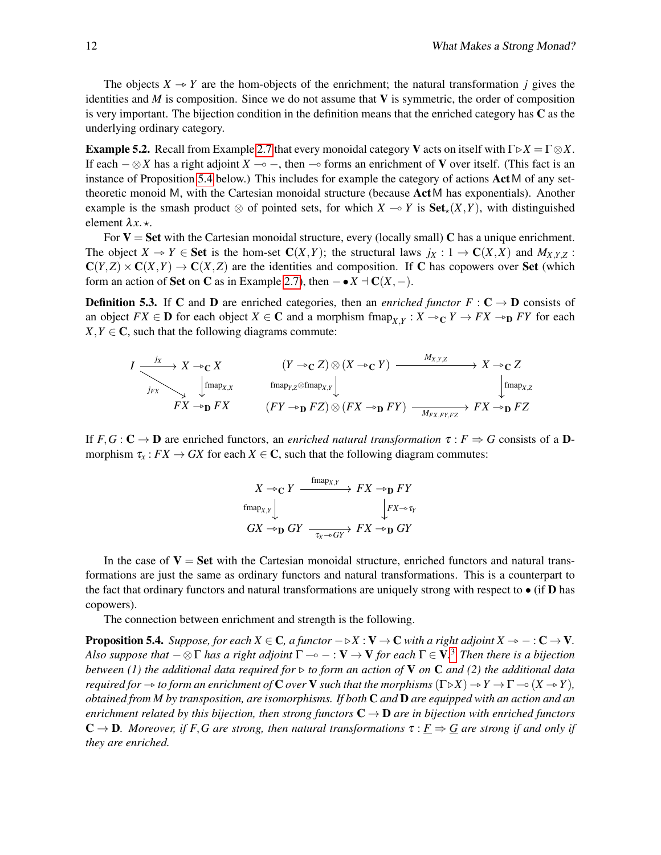The objects  $X \rightarrow Y$  are the hom-objects of the enrichment; the natural transformation *j* gives the identities and  $M$  is composition. Since we do not assume that  $V$  is symmetric, the order of composition is very important. The bijection condition in the definition means that the enriched category has  $C$  as the underlying ordinary category.

**Example 5.2.** Recall from Example [2.7](#page-2-1) that every monoidal category V acts on itself with  $\Gamma \triangleright X = \Gamma \otimes X$ . If each  $-\otimes X$  has a right adjoint *X*  $\multimap$  –, then  $\multimap$  forms an enrichment of **V** over itself. (This fact is an instance of Proposition [5.4](#page-11-0) below.) This includes for example the category of actions Act M of any settheoretic monoid M, with the Cartesian monoidal structure (because ActM has exponentials). Another example is the smash product  $\otimes$  of pointed sets, for which  $X \to Y$  is  $Set_{\star}(X,Y)$ , with distinguished element  $\lambda x. \star$ .

For  $V = Set$  with the Cartesian monoidal structure, every (locally small) C has a unique enrichment. The object  $X \to Y \in \mathbf{Set}$  is the hom-set  $\mathbf{C}(X,Y)$ ; the structural laws  $j_X : 1 \to \mathbf{C}(X,X)$  and  $M_{X,Y,Z}$ :  $C(Y,Z) \times C(X,Y) \to C(X,Z)$  are the identities and composition. If C has copowers over Set (which form an action of Set on C as in Example [2.7\)](#page-2-1), then  $-\bullet X \vdash C(X,-)$ .

**Definition 5.3.** If C and D are enriched categories, then an *enriched functor*  $F: C \rightarrow D$  consists of an object  $FX \in D$  for each object  $X \in C$  and a morphism fmap<sub>*X*,*Y*</sub> :  $X \rightarrow_C Y \rightarrow FX \rightarrow_D FY$  for each  $Y, Y \subseteq C$  such that the following diagrams commute:  $X, Y \in \mathbb{C}$ , such that the following diagrams commute:

$$
I \xrightarrow[\text{fmap}_{X,X}]{j_X} X \to_C X \qquad (Y \to_C Z) \otimes (X \to_C Y) \xrightarrow{\text{M}_{X,Y,Z}} X \to_C Z
$$
  
\n
$$
\downarrow \text{fmap}_{X,X} \qquad \text{fmap}_{Y,Z} \otimes \text{fmap}_{X,Y} \downarrow \qquad \qquad \downarrow \text{fmap}_{X,Z}
$$
  
\n
$$
FX \to_D FX \qquad (FY \to_D FZ) \otimes (FX \to_D FY) \xrightarrow{\text{M}_{X,Y,Y,Z}} FX \to_D FZ
$$

If  $F, G : \mathbb{C} \to \mathbb{D}$  are enriched functors, an *enriched natural transformation*  $\tau : F \Rightarrow G$  consists of a  $\mathbb{D}$ morphism  $\tau_x$ :  $FX \to GX$  for each  $X \in \mathbb{C}$ , such that the following diagram commutes:

$$
X \to_C Y \xrightarrow{\text{fmap}_{X,Y}} FX \to p \text{ } FY
$$
  
\n
$$
\text{fmap}_{X,Y} \downarrow \qquad \qquad \downarrow FX \to p \text{ } FY
$$
  
\n
$$
GX \to p \text{ } GY \xrightarrow{\tau_X \to GY} FX \to p \text{ } GY
$$

In the case of  $V = Set$  with the Cartesian monoidal structure, enriched functors and natural transformations are just the same as ordinary functors and natural transformations. This is a counterpart to the fact that ordinary functors and natural transformations are uniquely strong with respect to  $\bullet$  (if **D** has copowers).

The connection between enrichment and strength is the following.

<span id="page-11-0"></span>**Proposition 5.4.** *Suppose, for each*  $X \in \mathbb{C}$ *, a functor*  $-\triangleright X : V \to \mathbb{C}$  *with a right adjoint*  $X \to -: \mathbb{C} \to V$ *. Also suppose that* − ⊗Γ *has a right adjoint* Γ ⊸ − : V → V *for each* Γ ∈ V*.* [3](#page-12-0) *Then there is a bijection between (1) the additional data required for* ▷ *to form an action of* V *on* C *and (2) the additional data required for*  $\rightarrow$  *to form an enrichment of* **C** *over* **V** *such that the morphisms* ( $\Gamma \triangleright X$ )  $\rightarrow$   $Y \rightarrow \Gamma$   $\rightarrow$  ( $X \rightarrow Y$ ), *obtained from M by transposition, are isomorphisms. If both* C *and* D *are equipped with an action and an enrichment related by this bijection, then strong functors*  $C \rightarrow D$  *are in bijection with enriched functors*  $\mathbf{C} \to \mathbf{D}$ *. Moreover, if F,G are strong, then natural transformations*  $\tau : F \Rightarrow G$  *are strong if and only if they are enriched.*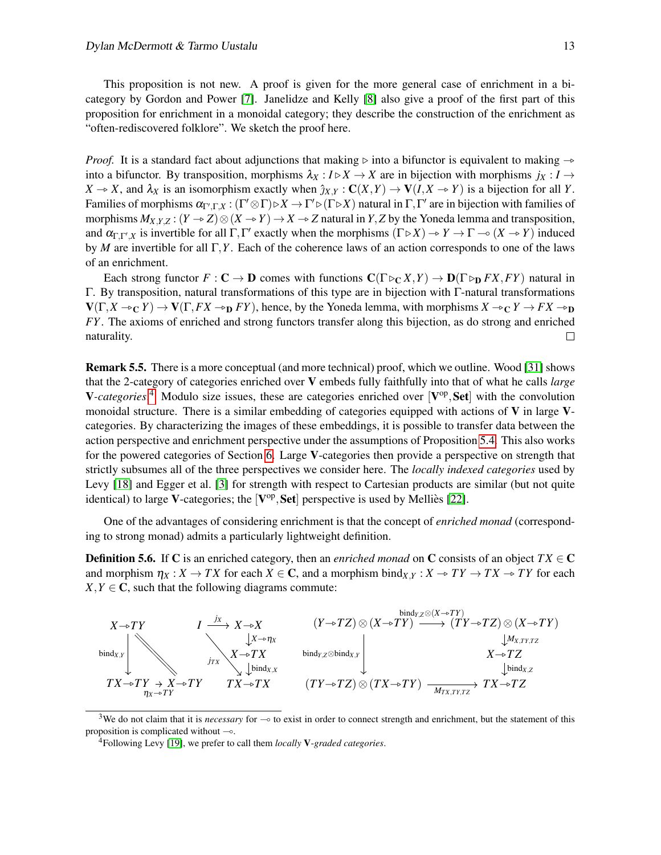This proposition is not new. A proof is given for the more general case of enrichment in a bicategory by Gordon and Power [\[7\]](#page-17-17). Janelidze and Kelly [\[8\]](#page-17-18) also give a proof of the first part of this proposition for enrichment in a monoidal category; they describe the construction of the enrichment as "often-rediscovered folklore". We sketch the proof here.

*Proof.* It is a standard fact about adjunctions that making  $\triangleright$  into a bifunctor is equivalent to making  $\rightarrow$ into a bifunctor. By transposition, morphisms  $\lambda_X : I \triangleright X \to X$  are in bijection with morphisms  $j_X : I \to Y$  $X \to X$ , and  $\lambda_X$  is an isomorphism exactly when  $\hat{\jmath}_{X,Y} : \mathbf{C}(X,Y) \to \mathbf{V}(I,X \to Y)$  is a bijection for all *Y*. Families of morphisms  $\alpha_{\Gamma',\Gamma,X}: (\Gamma' \otimes \Gamma) \triangleright X \to \Gamma' \triangleright (\Gamma \triangleright X)$  natural in  $\Gamma,\Gamma'$  are in bijection with families of morphisms  $M_{X,Y,Z}: (Y \to Z) \otimes (X \to Y) \to X \to Z$  natural in *Y*, *Z* by the Yoneda lemma and transposition, and  $\alpha_{\Gamma,\Gamma',X}$  is invertible for all  $\Gamma,\Gamma'$  exactly when the morphisms  $(\Gamma \triangleright X) \rightarrow Y \rightarrow \Gamma \rightarrow (X \rightarrow Y)$  induced<br>by *M* are invertible for all  $\Gamma$ *Y*. Each of the scherance laws of an action corresponds to an of the laws by *M* are invertible for all Γ,*Y*. Each of the coherence laws of an action corresponds to one of the laws of an enrichment.

Each strong functor  $F: \mathbf{C} \to \mathbf{D}$  comes with functions  $\mathbf{C}(\Gamma \triangleright_{\mathbf{C}} X, Y) \to \mathbf{D}(\Gamma \triangleright_{\mathbf{D}} FX, FY)$  natural in Γ. By transposition, natural transformations of this type are in bijection with Γ-natural transformations  $V(\Gamma, X \to_C Y) \to V(\Gamma, FX \to_D FY)$ , hence, by the Yoneda lemma, with morphisms  $X \to_C Y \to FX \to_D Y$ *FY*. The axioms of enriched and strong functors transfer along this bijection, as do strong and enriched naturality.  $\Box$ 

Remark 5.5. There is a more conceptual (and more technical) proof, which we outline. Wood [\[31\]](#page-18-5) shows that the 2-category of categories enriched over V embeds fully faithfully into that of what he calls *large* V-categories.<sup>[4](#page-12-1)</sup> Modulo size issues, these are categories enriched over [V<sup>op</sup>, Set] with the convolution monoidal structure. There is a similar embedding of categories equipped with actions of  $\bf{V}$  in large  $\bf{V}$ categories. By characterizing the images of these embeddings, it is possible to transfer data between the action perspective and enrichment perspective under the assumptions of Proposition [5.4.](#page-11-0) This also works for the powered categories of Section [6.](#page-13-0) Large V-categories then provide a perspective on strength that strictly subsumes all of the three perspectives we consider here. The *locally indexed categories* used by Levy [\[18\]](#page-17-13) and Egger et al. [\[3\]](#page-16-5) for strength with respect to Cartesian products are similar (but not quite identical) to large V-categories; the  $[{\bf V}^{\rm op},{\bf Set}]$  perspective is used by Melliès [\[22\]](#page-17-7).

One of the advantages of considering enrichment is that the concept of *enriched monad* (corresponding to strong monad) admits a particularly lightweight definition.

**Definition 5.6.** If C is an enriched category, then an *enriched monad* on C consists of an object  $TX \in \mathbb{C}$ and morphism  $\eta_X : X \to TX$  for each  $X \in \mathbb{C}$ , and a morphism bind $\chi_X : X \to TY \to TX \to TY$  for each  $X, Y \in \mathbb{C}$ , such that the following diagrams commute:



<span id="page-12-0"></span><sup>3</sup>We do not claim that it is *necessary* for ⊸ to exist in order to connect strength and enrichment, but the statement of this proposition is complicated without ⊸.

<span id="page-12-1"></span><sup>4</sup>Following Levy [\[19\]](#page-17-19), we prefer to call them *locally* V-*graded categories*.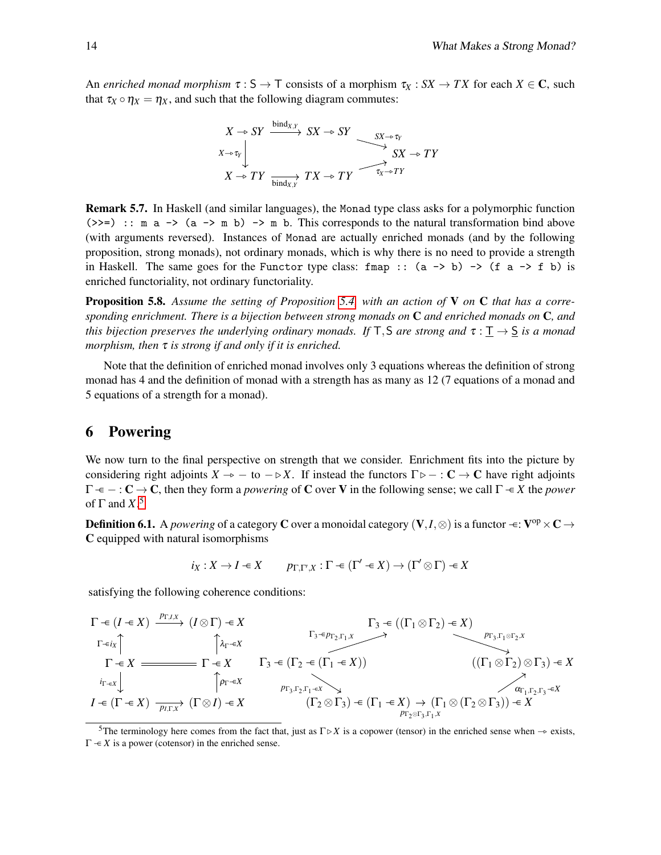An *enriched monad morphism*  $\tau : S \to T$  consists of a morphism  $\tau_X : SX \to TX$  for each  $X \in \mathbb{C}$ , such that  $\tau_X \circ \eta_X = \eta_X$ , and such that the following diagram commutes:

$$
X \to SY \xrightarrow{\text{bind}_{X,Y}} SX \to SY \xrightarrow{\text{SX} \to \tau_Y} SX \to \tau_Y
$$
  

$$
X \to TY \xrightarrow{\text{bind}_{X,Y}} TX \to TY \xrightarrow{\tau_X \to \tau_Y} \tau_X
$$

Remark 5.7. In Haskell (and similar languages), the Monad type class asks for a polymorphic function  $(\gg)=)$  :: m a  $\rightarrow$  (a  $\rightarrow$  m b)  $\rightarrow$  m b. This corresponds to the natural transformation bind above (with arguments reversed). Instances of Monad are actually enriched monads (and by the following proposition, strong monads), not ordinary monads, which is why there is no need to provide a strength in Haskell. The same goes for the Functor type class: fmap ::  $(a \rightarrow b) \rightarrow (f a \rightarrow f b)$  is enriched functoriality, not ordinary functoriality.

Proposition 5.8. *Assume the setting of Proposition [5.4,](#page-11-0) with an action of* V *on* C *that has a corresponding enrichment. There is a bijection between strong monads on* C *and enriched monads on* C*, and this bijection preserves the underlying ordinary monads. If* T, S *are strong and*  $\tau : \underline{T} \to \underline{S}$  *is a monad morphism, then* τ *is strong if and only if it is enriched.*

Note that the definition of enriched monad involves only 3 equations whereas the definition of strong monad has 4 and the definition of monad with a strength has as many as 12 (7 equations of a monad and 5 equations of a strength for a monad).

### <span id="page-13-0"></span>6 Powering

We now turn to the final perspective on strength that we consider. Enrichment fits into the picture by considering right adjoints  $X \to -\infty$  – to  $-\triangleright X$ . If instead the functors  $\Gamma \triangleright - : \mathbb{C} \to \mathbb{C}$  have right adjoints  $\Gamma \leftarrow \Gamma \leftarrow \Gamma C \rightarrow C$ , then they form a *powering* of C over V in the following sense; we call  $\Gamma \leftarrow X$  the *power* of  $\Gamma$  and  $X$ <sup>[5](#page-13-1)</sup>

**Definition 6.1.** A *powering* of a category **C** over a monoidal category  $(V, I, \otimes)$  is a functor  $\div$ :  $V^{op} \times C \rightarrow$ C equipped with natural isomorphisms

$$
i_X: X \to I \in X \qquad p_{\Gamma, \Gamma', X} : \Gamma \in (\Gamma' \in X) \to (\Gamma' \otimes \Gamma) \in X
$$

satisfying the following coherence conditions:

$$
\Gamma \leftarrow (I \leftarrow X) \xrightarrow{P_{\Gamma,I,X}} (I \otimes \Gamma) \leftarrow X
$$
\n
$$
\Gamma \leftarrow \mathbf{x}
$$
\n
$$
\Gamma \leftarrow \mathbf{x}
$$
\n
$$
\Gamma \leftarrow \mathbf{x}
$$
\n
$$
\Gamma \leftarrow \mathbf{X}
$$
\n
$$
\Gamma \leftarrow \mathbf{X}
$$
\n
$$
\Gamma \leftarrow \mathbf{X}
$$
\n
$$
\Gamma \leftarrow \mathbf{X}
$$
\n
$$
\Gamma \leftarrow \mathbf{X}
$$
\n
$$
\Gamma \leftarrow \mathbf{X}
$$
\n
$$
\Gamma \leftarrow \mathbf{X}
$$
\n
$$
\Gamma \leftarrow \mathbf{X}
$$
\n
$$
\Gamma \leftarrow \mathbf{X}
$$
\n
$$
\Gamma \leftarrow \mathbf{X}
$$
\n
$$
\Gamma \leftarrow \mathbf{X}
$$
\n
$$
\Gamma \leftarrow \mathbf{X}
$$
\n
$$
\Gamma \leftarrow \mathbf{X}
$$
\n
$$
\Gamma \leftarrow \mathbf{X}
$$
\n
$$
\Gamma \leftarrow \mathbf{X}
$$
\n
$$
\Gamma \leftarrow \mathbf{X}
$$
\n
$$
\Gamma \leftarrow \mathbf{X}
$$
\n
$$
\Gamma \leftarrow \mathbf{X}
$$
\n
$$
\Gamma \leftarrow \mathbf{X}
$$
\n
$$
\Gamma \leftarrow \mathbf{X}
$$
\n
$$
\Gamma \leftarrow \mathbf{X}
$$
\n
$$
\Gamma \leftarrow \mathbf{X}
$$
\n
$$
\Gamma \leftarrow \mathbf{X}
$$
\n
$$
\Gamma \leftarrow \mathbf{X}
$$
\n
$$
\Gamma \leftarrow \mathbf{X}
$$
\n
$$
\Gamma \leftarrow \mathbf{X}
$$
\n
$$
\Gamma \leftarrow \mathbf{X}
$$
\n
$$
\Gamma \leftarrow \mathbf{X}
$$
\n
$$
\Gamma \leftarrow \mathbf{X}
$$
\n
$$
\Gamma \leftarrow \mathbf{X}
$$
\n
$$
\Gamma \leftarrow \mathbf{X}
$$
\n
$$
\Gamma \leftarrow \mathbf{X}
$$
\n
$$
\Gamma \leftarrow \mathbf{X}
$$
\n
$$
\Gamma \leftarrow \mathbf{X}
$$
\n
$$
\Gamma \leftarrow \mathbf{X}
$$
\n

<span id="page-13-1"></span><sup>5</sup>The terminology here comes from the fact that, just as  $\Gamma \triangleright X$  is a copower (tensor) in the enriched sense when  $\rightarrow$  exists,  $\Gamma \rightarrow X$  is a power (cotensor) in the enriched sense.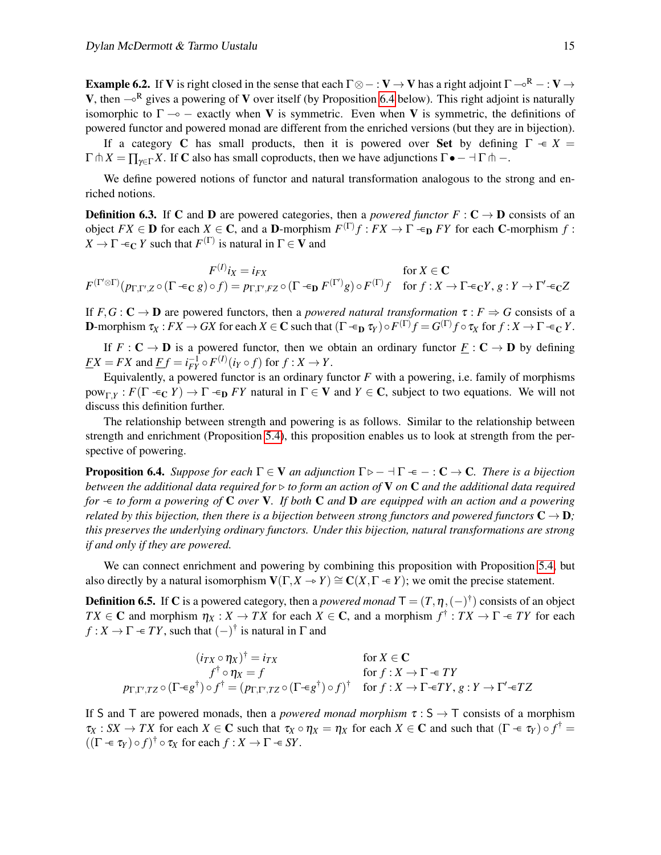**Example 6.2.** If V is right closed in the sense that each  $\Gamma \otimes - : V \to V$  has a right adjoint  $\Gamma \neg R - : V \to V$ V, then  $\sim$ <sup>R</sup> gives a powering of V over itself (by Proposition [6.4](#page-14-0) below). This right adjoint is naturally isomorphic to  $\Gamma \rightarrow -$  exactly when V is symmetric. Even when V is symmetric, the definitions of powered functor and powered monad are different from the enriched versions (but they are in bijection).

If a category C has small products, then it is powered over Set by defining  $\Gamma \rightarrow X$  $\Gamma \cap X = \prod_{\gamma \in \Gamma} X$ . If **C** also has small coproducts, then we have adjunctions  $\Gamma \bullet - \Pi \cap -$ .

We define powered notions of functor and natural transformation analogous to the strong and enriched notions.

**Definition 6.3.** If C and D are powered categories, then a *powered functor*  $F : C \to D$  consists of an object  $FX \in \mathbf{D}$  for each  $X \in \mathbf{C}$ , and a **D**-morphism  $F^{(\Gamma)}f : FX \to \Gamma \text{ and } FY$  for each **C**-morphism  $f :$  $X \to \Gamma \leftarrow_C Y$  such that  $F^{(\Gamma)}$  is natural in  $\Gamma \in V$  and

$$
F^{(I)}i_X = i_{FX} \qquad \text{for } X \in \mathbf{C}
$$
  

$$
F^{(\Gamma \otimes \Gamma)}(p_{\Gamma, \Gamma', Z} \circ (\Gamma \in_{\mathbf{C}} g) \circ f) = p_{\Gamma, \Gamma', FZ} \circ (\Gamma \in_{\mathbf{D}} F^{(\Gamma')}g) \circ F^{(\Gamma)}f \quad \text{for } f: X \to \Gamma \in_{\mathbf{C}} Y, g: Y \to \Gamma' \in_{\mathbf{C}} Z
$$

If  $F, G : \mathbb{C} \to \mathbb{D}$  are powered functors, then a *powered natural transformation*  $\tau : F \Rightarrow G$  consists of a **D**-morphism  $\tau_X : F_X \to GX$  for each  $X \in \mathbb{C}$  such that  $(\Gamma \in_{\mathbf{D}} \tau_Y) \circ F^{(\Gamma)} f = G^{(\Gamma)} f \circ \tau_X$  for  $f : X \to \Gamma \in_{\mathbb{C}} Y$ .

If  $F: \mathbf{C} \to \mathbf{D}$  is a powered functor, then we obtain an ordinary functor  $\mathbf{F}: \mathbf{C} \to \mathbf{D}$  by defining  $\overline{FX} = \overline{FX}$  and  $\overline{Ef} = i_{FY}^{-1} \circ F^{(I)}(i_Y \circ f)$  for  $f: X \to Y$ .

Equivalently, a powered functor is an ordinary functor  $F$  with a powering, i.e. family of morphisms  $pow_{\Gamma,Y}$ :  $F(\Gamma \in_C Y) \to \Gamma \in_{\mathbf{D}} FY$  natural in  $\Gamma \in \mathbf{V}$  and  $Y \in \mathbf{C}$ , subject to two equations. We will not discuss this definition further.

The relationship between strength and powering is as follows. Similar to the relationship between strength and enrichment (Proposition [5.4\)](#page-11-0), this proposition enables us to look at strength from the perspective of powering.

<span id="page-14-0"></span>**Proposition 6.4.** *Suppose for each*  $\Gamma \in \mathbf{V}$  *an adjunction*  $\Gamma \triangleright - \Pi \cdot \mathbf{F} - \Gamma \cdot \mathbf{C} \rightarrow \mathbf{C}$ *. There is a bijection between the additional data required for* ▷ *to form an action of* V *on* C *and the additional data required for*  $\div$  to form a powering of C over V. If both C and D are equipped with an action and a powering *related by this bijection, then there is a bijection between strong functors and powered functors*  $C \rightarrow D$ ; *this preserves the underlying ordinary functors. Under this bijection, natural transformations are strong if and only if they are powered.*

We can connect enrichment and powering by combining this proposition with Proposition [5.4,](#page-11-0) but also directly by a natural isomorphism  $V(\Gamma, X \to Y) \cong C(X, \Gamma \to Y)$ ; we omit the precise statement.

**Definition 6.5.** If C is a powered category, then a *powered monad*  $T = (T, \eta, (-)^{\dagger})$  consists of an object *TX*  $\in$  **C** and morphism  $\eta_X : X \to TX$  for each  $X \in \mathbb{C}$ , and a morphism  $f^{\dagger} : TX \to \Gamma \to TY$  for each  $f: X \to \Gamma \in TY$ , such that  $(-)^{\dagger}$  is natural in  $\Gamma$  and

$$
(i_{TX} \circ \eta_X)^{\dagger} = i_{TX} \qquad \text{for } X \in \mathbf{C}
$$
  

$$
f^{\dagger} \circ \eta_X = f \qquad \text{for } f: X \to \Gamma \in TY
$$
  

$$
p_{\Gamma, \Gamma', TZ} \circ (\Gamma \in g^{\dagger}) \circ f^{\dagger} = (p_{\Gamma, \Gamma', TZ} \circ (\Gamma \in g^{\dagger}) \circ f)^{\dagger} \quad \text{for } f: X \to \Gamma \in TY, g: Y \to \Gamma' \in TZ
$$

If S and T are powered monads, then a *powered monad morphism*  $\tau : S \to T$  consists of a morphism  $\tau_X$ : *SX*  $\to TX$  for each  $X \in \mathbb{C}$  such that  $\tau_X \circ \eta_X = \eta_X$  for each  $X \in \mathbb{C}$  and such that  $(\Gamma \in \tau_Y) \circ f^{\dagger} =$  $((\Gamma \twoheadleftarrow \tau_Y) \circ f)^{\dagger} \circ \tau_X$  for each  $f : X \to \Gamma \twoheadleftarrow SY$ .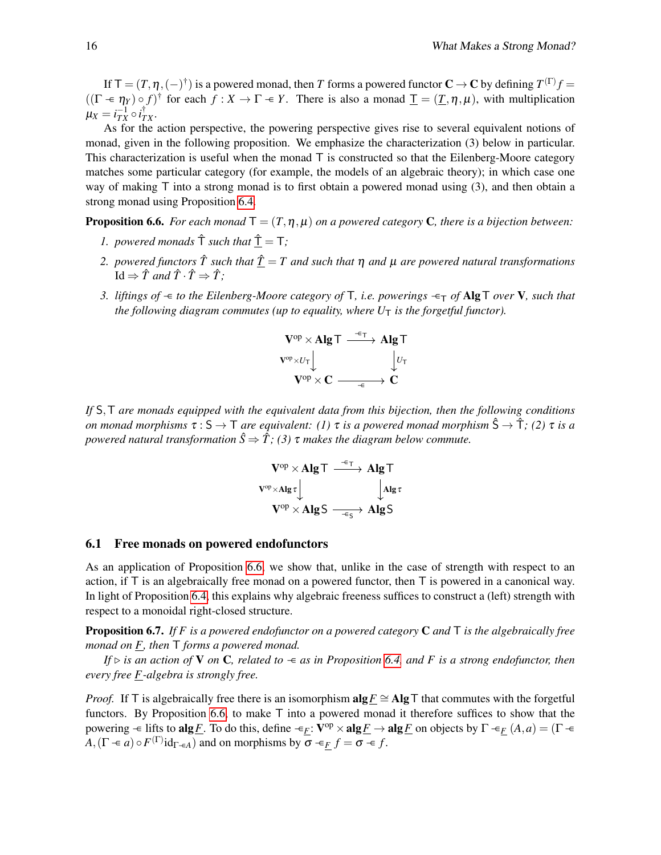If  $\mathsf{T}=(T,\eta,(-)^\dagger)$  is a powered monad, then  $T$  forms a powered functor  $\mathbf{C}\to\mathbf{C}$  by defining  $T^{(\Gamma)}f$  =  $((\Gamma \in \eta_Y) \circ f)^\dagger$  for each  $f : X \to \Gamma \in Y$ . There is also a monad  $\underline{\Gamma} = (\underline{T}, \eta, \mu)$ , with multiplication  $\mu_X = i_{TX}^{-1} \circ i_{TX}^\dagger.$ 

As for the action perspective, the powering perspective gives rise to several equivalent notions of monad, given in the following proposition. We emphasize the characterization (3) below in particular. This characterization is useful when the monad  $\bar{T}$  is constructed so that the Eilenberg-Moore category matches some particular category (for example, the models of an algebraic theory); in which case one way of making T into a strong monad is to first obtain a powered monad using (3), and then obtain a strong monad using Proposition [6.4.](#page-14-0)

<span id="page-15-1"></span>**Proposition 6.6.** *For each monad*  $T = (T, \eta, \mu)$  *on a powered category* **C***, there is a bijection between:* 

- *1. powered monads*  $\hat{T}$  *such that*  $\hat{T} = T$ ;
- *2. powered functors*  $\hat{T}$  *such that*  $\hat{T} = T$  *and such that*  $\eta$  *and*  $\mu$  *are powered natural transformations*  $Id \Rightarrow \hat{T}$  *and*  $\hat{T} \cdot \hat{T} \Rightarrow \hat{T}$ :
- *3. liftings of*  $\Leftarrow$  *to the Eilenberg-Moore category of* T, *i.e. powerings*  $\Leftarrow$  *of* AlgT *over* V, *such that the following diagram commutes (up to equality, where*  $U_T$  *is the forgetful functor).*



*If* S,T *are monads equipped with the equivalent data from this bijection, then the following conditions on monad morphisms*  $\tau : S \to T$  *are equivalent:* (1)  $\tau$  *is a powered monad morphism*  $\hat{S} \to \hat{T}$ *;* (2)  $\tau$  *is a powered natural transformation*  $\hat{S} \Rightarrow \hat{T}$ ; (3)  $\tau$  *makes the diagram below commute.* 

$$
\begin{array}{ccc}\n\mathbf{V}^{op} \times \mathbf{Alg}\top & \xrightarrow{-\epsilon_{\mathsf{T}}} \mathbf{Alg}\top \\
\mathbf{V}^{op} \times \mathbf{Alg}\tau & & \downarrow \mathbf{Alg}\tau \\
\mathbf{V}^{op} \times \mathbf{AlgS} & \xrightarrow{-\epsilon_{\mathsf{S}}} \mathbf{Alg}\mathsf{S}\n\end{array}
$$

#### <span id="page-15-0"></span>6.1 Free monads on powered endofunctors

As an application of Proposition [6.6,](#page-15-1) we show that, unlike in the case of strength with respect to an action, if  $\top$  is an algebraically free monad on a powered functor, then  $\top$  is powered in a canonical way. In light of Proposition [6.4,](#page-14-0) this explains why algebraic freeness suffices to construct a (left) strength with respect to a monoidal right-closed structure.

Proposition 6.7. *If F is a powered endofunctor on a powered category* C *and* T *is the algebraically free monad on F, then* T *forms a powered monad.*

*If*  $\triangleright$  *is an action of* **V** *on* **C**, *related to*  $\Leftarrow$  *as in Proposition* [6.4,](#page-14-0) *and F is a strong endofunctor, then every free F-algebra is strongly free.*

*Proof.* If T is algebraically free there is an isomorphism  $\mathbf{alg} F \cong \mathbf{Alg} T$  that commutes with the forgetful functors. By Proposition [6.6,](#page-15-1) to make T into a powered monad it therefore suffices to show that the powering  $\div$  lifts to alg*F*. To do this, define  $\div_E : V^{op} \times alg \underline{F} \to alg \underline{F}$  on objects by  $\Gamma \div_E (A, a) = (\Gamma \div \Pi)$  $A, (\Gamma \in a) \circ F^{(\Gamma)}$ **i**d<sub> $\Gamma \in A$ </sub>) and on morphisms by  $\sigma \in \underline{F}$   $f = \sigma \in f$ .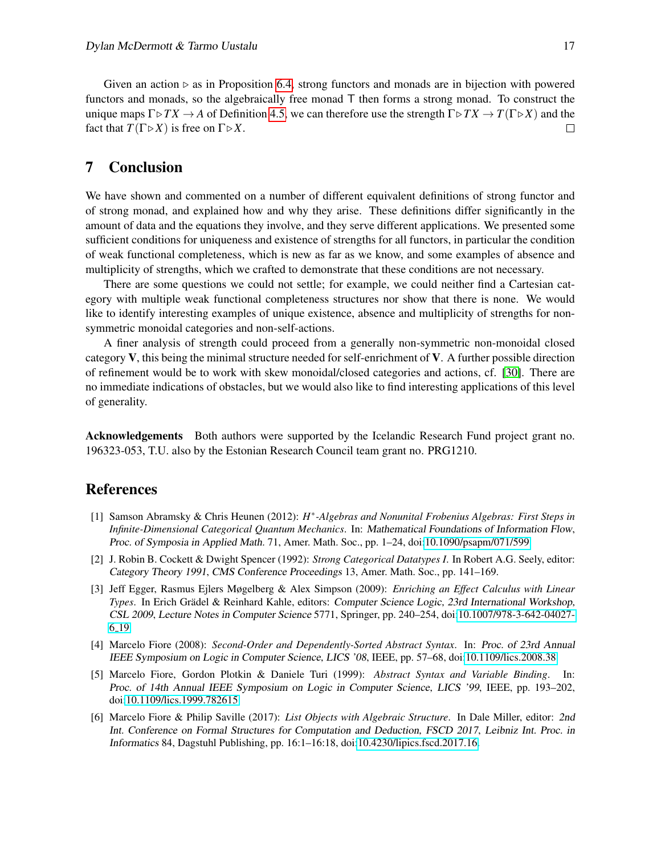Given an action  $\triangleright$  as in Proposition [6.4,](#page-14-0) strong functors and monads are in bijection with powered functors and monads, so the algebraically free monad T then forms a strong monad. To construct the unique maps  $\Gamma \triangleright TX \rightarrow A$  of Definition [4.5,](#page-9-0) we can therefore use the strength  $\Gamma \triangleright TX \rightarrow T(\Gamma \triangleright X)$  and the fact that  $T(\Gamma \triangleright X)$  is free on  $\Gamma \triangleright X$ .  $\Box$ 

## 7 Conclusion

We have shown and commented on a number of different equivalent definitions of strong functor and of strong monad, and explained how and why they arise. These definitions differ significantly in the amount of data and the equations they involve, and they serve different applications. We presented some sufficient conditions for uniqueness and existence of strengths for all functors, in particular the condition of weak functional completeness, which is new as far as we know, and some examples of absence and multiplicity of strengths, which we crafted to demonstrate that these conditions are not necessary.

There are some questions we could not settle; for example, we could neither find a Cartesian category with multiple weak functional completeness structures nor show that there is none. We would like to identify interesting examples of unique existence, absence and multiplicity of strengths for nonsymmetric monoidal categories and non-self-actions.

A finer analysis of strength could proceed from a generally non-symmetric non-monoidal closed category  $V$ , this being the minimal structure needed for self-enrichment of  $V$ . A further possible direction of refinement would be to work with skew monoidal/closed categories and actions, cf. [\[30\]](#page-18-1). There are no immediate indications of obstacles, but we would also like to find interesting applications of this level of generality.

Acknowledgements Both authors were supported by the Icelandic Research Fund project grant no. 196323-053, T.U. also by the Estonian Research Council team grant no. PRG1210.

### References

- <span id="page-16-3"></span>[1] Samson Abramsky & Chris Heunen (2012): *H*<sup>∗</sup>-Algebras and Nonunital Frobenius Algebras: First Steps in *Infinite-Dimensional Categorical Quantum Mechanics*. In: Mathematical Foundations of Information Flow, Proc. of Symposia in Applied Math. 71, Amer. Math. Soc., pp. 1–24, doi[:10.1090/psapm/071/599.](http://dx.doi.org/10.1090/psapm/071/599)
- <span id="page-16-1"></span>[2] J. Robin B. Cockett & Dwight Spencer (1992): *Strong Categorical Datatypes I*. In Robert A.G. Seely, editor: Category Theory 1991, CMS Conference Proceedings 13, Amer. Math. Soc., pp. 141–169.
- <span id="page-16-5"></span>[3] Jeff Egger, Rasmus Ejlers Møgelberg & Alex Simpson (2009): *Enriching an Effect Calculus with Linear Types*. In Erich Grädel & Reinhard Kahle, editors: Computer Science Logic, 23rd International Workshop, CSL 2009, Lecture Notes in Computer Science 5771, Springer, pp. 240–254, doi[:10.1007/978-3-642-04027-](http://dx.doi.org/10.1007/978-3-642-04027-6_19) 6.[19.](http://dx.doi.org/10.1007/978-3-642-04027-6_19)
- <span id="page-16-2"></span>[4] Marcelo Fiore (2008): *Second-Order and Dependently-Sorted Abstract Syntax*. In: Proc. of 23rd Annual IEEE Symposium on Logic in Computer Science, LICS '08, IEEE, pp. 57–68, doi[:10.1109/lics.2008.38.](http://dx.doi.org/10.1109/lics.2008.38)
- <span id="page-16-0"></span>[5] Marcelo Fiore, Gordon Plotkin & Daniele Turi (1999): *Abstract Syntax and Variable Binding*. In: Proc. of 14th Annual IEEE Symposium on Logic in Computer Science, LICS '99, IEEE, pp. 193–202, doi[:10.1109/lics.1999.782615.](http://dx.doi.org/10.1109/lics.1999.782615)
- <span id="page-16-4"></span>[6] Marcelo Fiore & Philip Saville (2017): *List Objects with Algebraic Structure*. In Dale Miller, editor: 2nd Int. Conference on Formal Structures for Computation and Deduction, FSCD 2017, Leibniz Int. Proc. in Informatics 84, Dagstuhl Publishing, pp. 16:1–16:18, doi[:10.4230/lipics.fscd.2017.16.](http://dx.doi.org/10.4230/lipics.fscd.2017.16)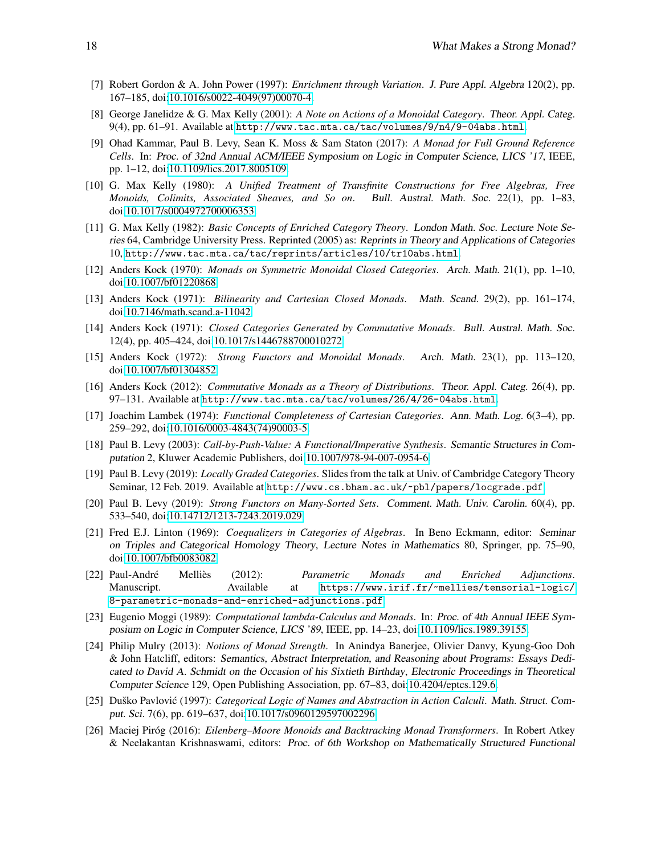- <span id="page-17-17"></span>[7] Robert Gordon & A. John Power (1997): *Enrichment through Variation*. J. Pure Appl. Algebra 120(2), pp. 167–185, doi[:10.1016/s0022-4049\(97\)00070-4.](http://dx.doi.org/10.1016/s0022-4049(97)00070-4)
- <span id="page-17-18"></span>[8] George Janelidze & G. Max Kelly (2001): *A Note on Actions of a Monoidal Category*. Theor. Appl. Categ. 9(4), pp. 61–91. Available at <http://www.tac.mta.ca/tac/volumes/9/n4/9-04abs.html>.
- <span id="page-17-8"></span>[9] Ohad Kammar, Paul B. Levy, Sean K. Moss & Sam Staton (2017): *A Monad for Full Ground Reference Cells*. In: Proc. of 32nd Annual ACM/IEEE Symposium on Logic in Computer Science, LICS '17, IEEE, pp. 1–12, doi[:10.1109/lics.2017.8005109.](http://dx.doi.org/10.1109/lics.2017.8005109)
- <span id="page-17-14"></span>[10] G. Max Kelly (1980): *A Unified Treatment of Transfinite Constructions for Free Algebras, Free Monoids, Colimits, Associated Sheaves, and So on*. Bull. Austral. Math. Soc. 22(1), pp. 1–83, doi[:10.1017/s0004972700006353.](http://dx.doi.org/10.1017/s0004972700006353)
- <span id="page-17-16"></span>[11] G. Max Kelly (1982): *Basic Concepts of Enriched Category Theory*. London Math. Soc. Lecture Note Series 64, Cambridge University Press. Reprinted (2005) as: Reprints in Theory and Applications of Categories 10, <http://www.tac.mta.ca/tac/reprints/articles/10/tr10abs.html>.
- <span id="page-17-1"></span>[12] Anders Kock (1970): *Monads on Symmetric Monoidal Closed Categories*. Arch. Math. 21(1), pp. 1–10, doi[:10.1007/bf01220868.](http://dx.doi.org/10.1007/bf01220868)
- <span id="page-17-3"></span>[13] Anders Kock (1971): *Bilinearity and Cartesian Closed Monads*. Math. Scand. 29(2), pp. 161–174, doi[:10.7146/math.scand.a-11042.](http://dx.doi.org/10.7146/math.scand.a-11042)
- <span id="page-17-10"></span>[14] Anders Kock (1971): *Closed Categories Generated by Commutative Monads*. Bull. Austral. Math. Soc. 12(4), pp. 405–424, doi[:10.1017/s1446788700010272.](http://dx.doi.org/10.1017/s1446788700010272)
- <span id="page-17-9"></span>[15] Anders Kock (1972): *Strong Functors and Monoidal Monads*. Arch. Math. 23(1), pp. 113–120, doi[:10.1007/bf01304852.](http://dx.doi.org/10.1007/bf01304852)
- <span id="page-17-4"></span>[16] Anders Kock (2012): *Commutative Monads as a Theory of Distributions*. Theor. Appl. Categ. 26(4), pp. 97–131. Available at <http://www.tac.mta.ca/tac/volumes/26/4/26-04abs.html>.
- <span id="page-17-11"></span>[17] Joachim Lambek (1974): *Functional Completeness of Cartesian Categories*. Ann. Math. Log. 6(3–4), pp. 259–292, doi[:10.1016/0003-4843\(74\)90003-5.](http://dx.doi.org/10.1016/0003-4843(74)90003-5)
- <span id="page-17-13"></span>[18] Paul B. Levy (2003): *Call-by-Push-Value: A Functional/Imperative Synthesis*. Semantic Structures in Computation 2, Kluwer Academic Publishers, doi[:10.1007/978-94-007-0954-6.](http://dx.doi.org/10.1007/978-94-007-0954-6)
- <span id="page-17-19"></span>[19] Paul B. Levy (2019): *Locally Graded Categories*. Slides from the talk at Univ. of Cambridge Category Theory Seminar, 12 Feb. 2019. Available at <http://www.cs.bham.ac.uk/~pbl/papers/locgrade.pdf>.
- <span id="page-17-6"></span>[20] Paul B. Levy (2019): *Strong Functors on Many-Sorted Sets*. Comment. Math. Univ. Carolin. 60(4), pp. 533–540, doi[:10.14712/1213-7243.2019.029.](http://dx.doi.org/10.14712/1213-7243.2019.029)
- <span id="page-17-2"></span>[21] Fred E.J. Linton (1969): *Coequalizers in Categories of Algebras*. In Beno Eckmann, editor: Seminar on Triples and Categorical Homology Theory, Lecture Notes in Mathematics 80, Springer, pp. 75–90, doi[:10.1007/bfb0083082.](http://dx.doi.org/10.1007/bfb0083082)
- <span id="page-17-7"></span>[22] Paul-André Melliès (2012): *Parametric Monads and Enriched Adjunctions*. Manuscript. Available at [https://www.irif.fr/~mellies/tensorial-logic/](https://www.irif.fr/~mellies/tensorial-logic/8-parametric-monads-and-enriched-adjunctions.pdf) [8-parametric-monads-and-enriched-adjunctions.pdf](https://www.irif.fr/~mellies/tensorial-logic/8-parametric-monads-and-enriched-adjunctions.pdf).
- <span id="page-17-0"></span>[23] Eugenio Moggi (1989): *Computational lambda-Calculus and Monads*. In: Proc. of 4th Annual IEEE Symposium on Logic in Computer Science, LICS '89, IEEE, pp. 14–23, doi[:10.1109/lics.1989.39155.](http://dx.doi.org/10.1109/lics.1989.39155)
- <span id="page-17-5"></span>[24] Philip Mulry (2013): *Notions of Monad Strength*. In Anindya Banerjee, Olivier Danvy, Kyung-Goo Doh & John Hatcliff, editors: Semantics, Abstract Interpretation, and Reasoning about Programs: Essays Dedicated to David A. Schmidt on the Occasion of his Sixtieth Birthday, Electronic Proceedings in Theoretical Computer Science 129, Open Publishing Association, pp. 67–83, doi[:10.4204/eptcs.129.6.](http://dx.doi.org/10.4204/eptcs.129.6)
- <span id="page-17-12"></span>[25] Duško Pavlović (1997): *Categorical Logic of Names and Abstraction in Action Calculi*. Math. Struct. Comput. Sci. 7(6), pp. 619–637, doi[:10.1017/s0960129597002296.](http://dx.doi.org/10.1017/s0960129597002296)
- <span id="page-17-15"></span>[26] Maciej Piróg (2016): *Eilenberg–Moore Monoids and Backtracking Monad Transformers*. In Robert Atkey & Neelakantan Krishnaswami, editors: Proc. of 6th Workshop on Mathematically Structured Functional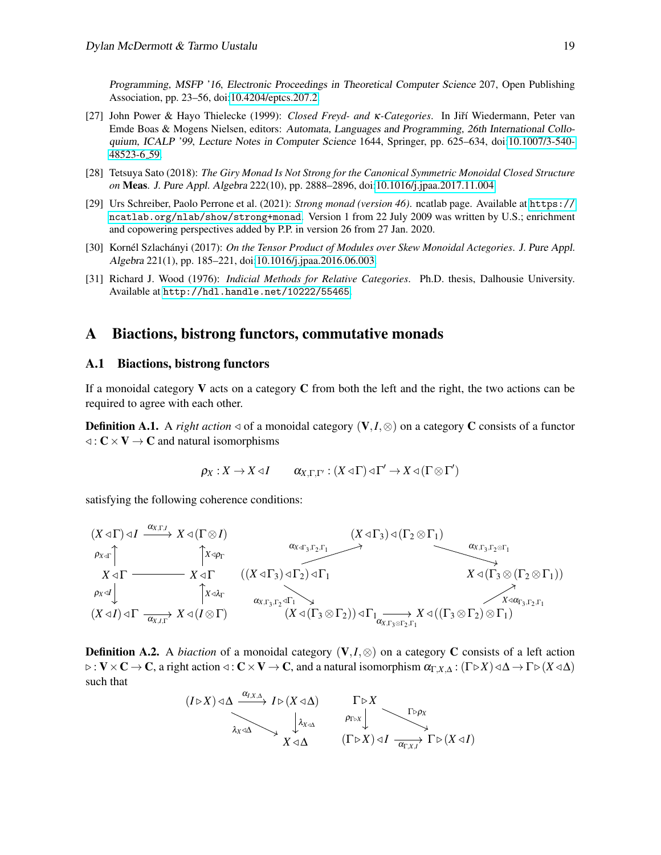Programming, MSFP '16, Electronic Proceedings in Theoretical Computer Science 207, Open Publishing Association, pp. 23–56, doi[:10.4204/eptcs.207.2.](http://dx.doi.org/10.4204/eptcs.207.2)

- <span id="page-18-4"></span>[27] John Power & Hayo Thielecke (1999): *Closed Freyd- and κ-Categories*. In Jiří Wiedermann, Peter van Emde Boas & Mogens Nielsen, editors: Automata, Languages and Programming, 26th International Colloquium, ICALP '99, Lecture Notes in Computer Science 1644, Springer, pp. 625–634, doi[:10.1007/3-540-](http://dx.doi.org/10.1007/3-540-48523-6_59) [48523-6](http://dx.doi.org/10.1007/3-540-48523-6_59) 59.
- <span id="page-18-0"></span>[28] Tetsuya Sato (2018): *The Giry Monad Is Not Strong for the Canonical Symmetric Monoidal Closed Structure on* Meas. J. Pure Appl. Algebra 222(10), pp. 2888–2896, doi[:10.1016/j.jpaa.2017.11.004.](http://dx.doi.org/10.1016/j.jpaa.2017.11.004)
- <span id="page-18-2"></span>[29] Urs Schreiber, Paolo Perrone et al. (2021): *Strong monad (version 46)*. ncatlab page. Available at [https://](https://ncatlab.org/nlab/show/strong+monad) [ncatlab.org/nlab/show/strong+monad](https://ncatlab.org/nlab/show/strong+monad). Version 1 from 22 July 2009 was written by U.S.; enrichment and copowering perspectives added by P.P. in version 26 from 27 Jan. 2020.
- <span id="page-18-1"></span>[30] Kornél Szlachányi (2017): *On the Tensor Product of Modules over Skew Monoidal Actegories*. J. Pure Appl. Algebra 221(1), pp. 185–221, doi[:10.1016/j.jpaa.2016.06.003.](http://dx.doi.org/10.1016/j.jpaa.2016.06.003)
- <span id="page-18-5"></span>[31] Richard J. Wood (1976): *Indicial Methods for Relative Categories*. Ph.D. thesis, Dalhousie University. Available at <http://hdl.handle.net/10222/55465>.

### <span id="page-18-3"></span>A Biactions, bistrong functors, commutative monads

#### A.1 Biactions, bistrong functors

If a monoidal category  $\bf{V}$  acts on a category  $\bf{C}$  from both the left and the right, the two actions can be required to agree with each other.

**Definition A.1.** A *right action*  $\triangleleft$  of a monoidal category (V,*I*, $\otimes$ ) on a category C consists of a functor  $\triangleleft : \mathbb{C} \times \mathbb{V} \to \mathbb{C}$  and natural isomorphisms

$$
\rho_X:X\to X\triangleleft I\qquad \alpha_{X,\Gamma,\Gamma'}:(X\triangleleft \Gamma)\triangleleft \Gamma'\to X\triangleleft (\Gamma\otimes \Gamma')
$$

satisfying the following coherence conditions:

$$
(X \triangleleft \Gamma) \triangleleft I \xrightarrow{\alpha_{X,\Gamma,I}} X \triangleleft (\Gamma \otimes I) \xrightarrow{\alpha_{X \triangleleft \Gamma, I}} X \triangleleft (\Gamma \otimes I) \xrightarrow{\alpha_{X \triangleleft \Gamma, \Gamma \triangleleft \Gamma}} (X \triangleleft \Gamma_3) \triangleleft (\Gamma_2 \otimes \Gamma_1) \xrightarrow{\alpha_{X,\Gamma_3, \Gamma_2 \otimes \Gamma_1}} \Gamma_1 \vee \Gamma_2 \wedge \Gamma_3 \wedge \Gamma_4 \wedge \Gamma_5 \wedge \Gamma_5 \wedge \Gamma_6 \wedge \Gamma_7 \wedge \Gamma_7 \wedge \Gamma_8 \wedge \Gamma_7 \wedge \Gamma_8 \wedge \Gamma_8 \wedge \Gamma_9 \wedge \Gamma_9 \wedge \Gamma_9 \wedge \Gamma_9 \wedge \Gamma_1 \wedge \Gamma_9 \wedge \Gamma_1 \wedge \Gamma_1 \wedge \Gamma_2 \wedge \Gamma_1 \wedge \Gamma_4 \wedge \Gamma_5 \wedge \Gamma_2 \wedge \Gamma_1 \wedge \Gamma_5 \wedge \Gamma_5 \wedge \Gamma_7 \wedge \Gamma_8 \wedge \Gamma_8 \wedge \Gamma_9 \wedge \Gamma_9 \wedge \Gamma_1 \wedge \Gamma_1 \wedge \Gamma_2 \wedge \Gamma_1 \wedge \Gamma_3 \wedge \Gamma_4 \wedge \Gamma_5 \wedge \Gamma_5 \wedge \Gamma_5 \wedge \Gamma_6 \wedge \Gamma_7 \wedge \Gamma_8 \wedge \Gamma_8 \wedge \Gamma_9 \wedge \Gamma_9 \wedge \Gamma_9 \wedge \Gamma_1 \wedge \Gamma_8 \wedge \Gamma_9 \wedge \Gamma_1 \wedge \Gamma_1 \wedge \Gamma_1 \wedge \Gamma_2 \wedge \Gamma_1 \wedge \Gamma_3 \wedge \Gamma_2 \wedge \Gamma_1 \wedge \Gamma_4 \wedge \Gamma_5 \wedge \Gamma_5 \wedge \Gamma_7 \wedge \Gamma_8 \wedge \Gamma_9 \wedge \Gamma_9 \wedge \Gamma_9 \wedge \Gamma_1 \wedge \Gamma_8 \wedge \Gamma_9 \wedge \Gamma_1 \wedge \Gamma_1 \wedge \Gamma_1 \wedge \Gamma_1 \wedge \Gamma_1 \wedge \Gamma_2 \wedge \Gamma_1 \wedge \Gamma_1 \wedge \Gamma_1 \wedge \Gamma_2 \wedge \Gamma_1 \wedge \Gamma_3 \wedge \Gamma_2 \wedge \Gamma_1 \wedge \Gamma_1 \wedge \Gamma_4 \wedge \Gamma_5 \wedge \Gamma_5 \wedge
$$

**Definition A.2.** A *biaction* of a monoidal category ( $V, I, \otimes$ ) on a category C consists of a left action ▷ : V×C → C, a right action ◁ : C×V → C, and a natural isomorphism αΓ,*X*,<sup>∆</sup> : (Γ▷*X*)◁∆ → Γ▷(*X* ◁∆) such that

$$
(I \triangleright X) \triangleleft \Delta \xrightarrow{\alpha_{I,X,\Delta}} I \triangleright (X \triangleleft \Delta) \qquad \qquad \Gamma \triangleright X
$$
\n
$$
\downarrow \qquad \qquad \downarrow \qquad \qquad \rho_{I \triangleright X} \qquad \qquad \Gamma \triangleright \rho_X
$$
\n
$$
X \triangleleft \Delta \qquad \qquad (\Gamma \triangleright X) \triangleleft I \xrightarrow{\alpha_{\Gamma,X,I}} \Gamma \triangleright (X \triangleleft I)
$$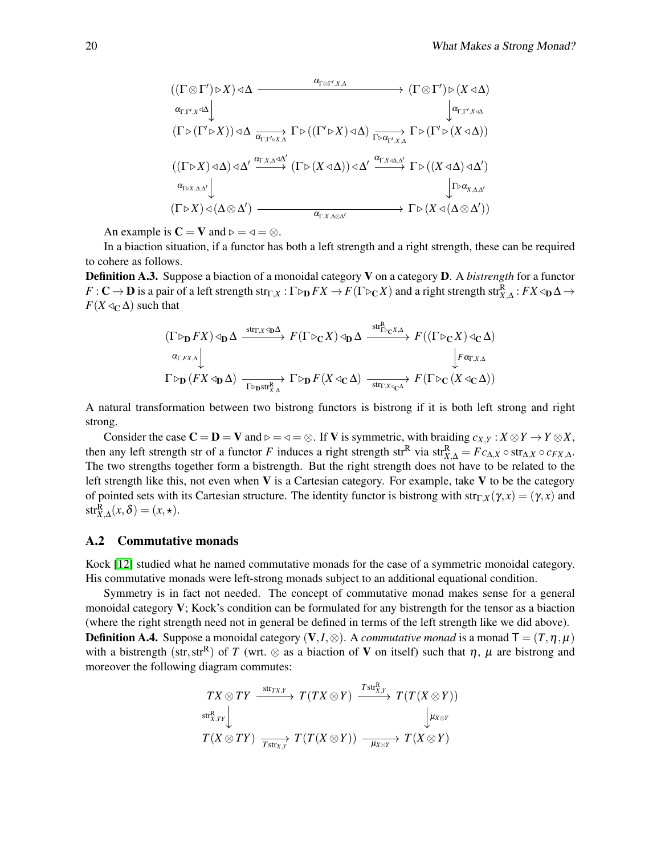$$
\begin{array}{ccc}\n((\Gamma \otimes \Gamma') \triangleright X) \triangleleft \Delta & \xrightarrow{\alpha_{\Gamma \otimes \Gamma', X, \Delta}} & (\Gamma \otimes \Gamma') \triangleright (X \triangleleft \Delta) \\
& \xrightarrow{\alpha_{\Gamma, \Gamma', X} \triangleleft \Delta} & \downarrow^{\alpha_{\Gamma, \Gamma', X \triangleleft \Delta}} \\
(\Gamma \triangleright (\Gamma' \triangleright X)) \triangleleft \Delta & \xrightarrow{\alpha_{\Gamma, \Gamma' \triangleright X, \Delta}} \Gamma \triangleright ((\Gamma' \triangleright X) \triangleleft \Delta) & \xrightarrow{\Gamma \triangleright \alpha_{\Gamma', X, \Delta}} \Gamma \triangleright (\Gamma' \triangleright (X \triangleleft \Delta)) \\
((\Gamma \triangleright X) \triangleleft \Delta) \triangleleft \Delta' & \xrightarrow{\alpha_{\Gamma, \Gamma \triangleleft X, \Delta} \triangle'} & (\Gamma \triangleright (X \triangleleft \Delta)) \triangleleft \Delta' & \xrightarrow{\alpha_{\Gamma, X \triangleleft X, \Delta'}} & \Gamma \triangleright ((X \triangleleft \Delta) \triangleleft \Delta') \\
& \xrightarrow{\alpha_{\Gamma \triangleright X, \Delta, \Delta'}} & \downarrow^{\Gamma \triangleright \alpha_{X, \Delta, \Delta'}} & \downarrow^{\Gamma \triangleright \alpha_{X, \Delta, \Delta'}} \\
(\Gamma \triangleright X) \triangleleft (\Delta \otimes \Delta') & \xrightarrow{\alpha_{\Gamma, X, \Delta \otimes \Delta'}} & \Gamma \triangleright (X \triangleleft (\Delta \otimes \Delta'))\n\end{array}
$$

An example is  $C = V$  and  $\rho = \varphi = \varnothing$ .

In a biaction situation, if a functor has both a left strength and a right strength, these can be required to cohere as follows.

Definition A.3. Suppose a biaction of a monoidal category V on a category D. A *bistrength* for a functor  $F:\mathbf{C}\to\mathbf{D}$  is a pair of a left strength  $\mathrm{str}_{\Gamma,X}:\Gamma\triangleright_{\mathbf{D}} FX\to F(\Gamma\triangleright_{\mathbf{C}} X)$  and a right strength  $\mathrm{str}^{\mathbf{R}}_{X,\Delta}:FX\triangleleft_{\mathbf{D}}\Delta\to Y$  $F(X \triangleleft_{\mathbb{C}} \Delta)$  such that

$$
\begin{array}{ccc}\n(\Gamma \triangleright_{\mathbf{D}} FX) \triangleleft_{\mathbf{D}} \Delta & \xrightarrow{\mathrm{str}_{\Gamma, X} \triangleleft_{\mathbf{D}} \Delta} & F(\Gamma \triangleright_{\mathbf{C}} X) \triangleleft_{\mathbf{D}} \Delta & \xrightarrow{\mathrm{str}_{\Gamma \triangleright_{\mathbf{C}} X, \Delta}} & F((\Gamma \triangleright_{\mathbf{C}} X) \triangleleft_{\mathbf{C}} \Delta) \\
& & \xrightarrow[\alpha_{\Gamma, X, \Delta}]{\alpha_{\Gamma, F X, \Delta}} & & \downarrow \tau \alpha_{\Gamma, X, \Delta} \\
\Gamma \triangleright_{\mathbf{D}} & (FX \triangleleft_{\mathbf{D}} \Delta) & \xrightarrow[\Gamma \triangleright_{\mathbf{D}} \mathrm{str}_{X, \Delta}^{T}]} & \Gamma \triangleright_{\mathbf{D}} & F(X \triangleleft_{\mathbf{C}} \Delta) & \xrightarrow[\text{str}_{\Gamma, X \triangleleft_{\mathbf{C}} \Delta}]{_{\text{str}_{\Gamma, X \triangleleft_{\mathbf{C}}}} & F(\Gamma \triangleright_{\mathbf{C}} (X \triangleleft_{\mathbf{C}} \Delta))\n\end{array}
$$

A natural transformation between two bistrong functors is bistrong if it is both left strong and right strong.

Consider the case  $C = D = V$  and  $\rho = \neg = \varnothing$ . If V is symmetric, with braiding  $c_{X,Y} : X \otimes Y \to Y \otimes X$ , then any left strength str of a functor *F* induces a right strength str<sup>R</sup> via str $_{X,\Delta}^R = Fc_{\Delta,X} \circ str_{\Delta,X} \circ c_{FX,\Delta}$ . The two strengths together form a bistrength. But the right strength does not have to be related to the left strength like this, not even when  $V$  is a Cartesian category. For example, take  $V$  to be the category of pointed sets with its Cartesian structure. The identity functor is bistrong with  $str_{\Gamma,X}(\gamma, x) = (\gamma, x)$  and  $str_{X,\Delta}^{R}(x,\delta) = (x,\star).$ 

#### A.2 Commutative monads

Kock [\[12\]](#page-17-1) studied what he named commutative monads for the case of a symmetric monoidal category. His commutative monads were left-strong monads subject to an additional equational condition.

Symmetry is in fact not needed. The concept of commutative monad makes sense for a general monoidal category  $V$ ; Kock's condition can be formulated for any bistrength for the tensor as a biaction (where the right strength need not in general be defined in terms of the left strength like we did above). **Definition A.4.** Suppose a monoidal category  $(V, I, \otimes)$ . A *commutative monad* is a monad  $T = (T, \eta, \mu)$ with a bistrength (str, str<sup>R</sup>) of *T* (wrt.  $\otimes$  as a biaction of **V** on itself) such that  $\eta$ ,  $\mu$  are bistrong and moreover the following diagram commutes:

$$
\begin{array}{ccc} TX\otimes TY & \xrightarrow{\text{str}_{TX,Y}} & T(TX\otimes Y) & \xrightarrow{T\text{str}_{X,Y}^{\text{R}}} & T(T(X\otimes Y)) \\ \xrightarrow{\text{str}_{X,TY}} & & \downarrow^{\text{H}_{X\otimes Y}} \\ T(X\otimes TY) & \xrightarrow[T\text{str}_{X,Y}] & T(T(X\otimes Y)) & \xrightarrow[\text{H}_{X\otimes Y}] & T(X\otimes Y) \end{array}
$$